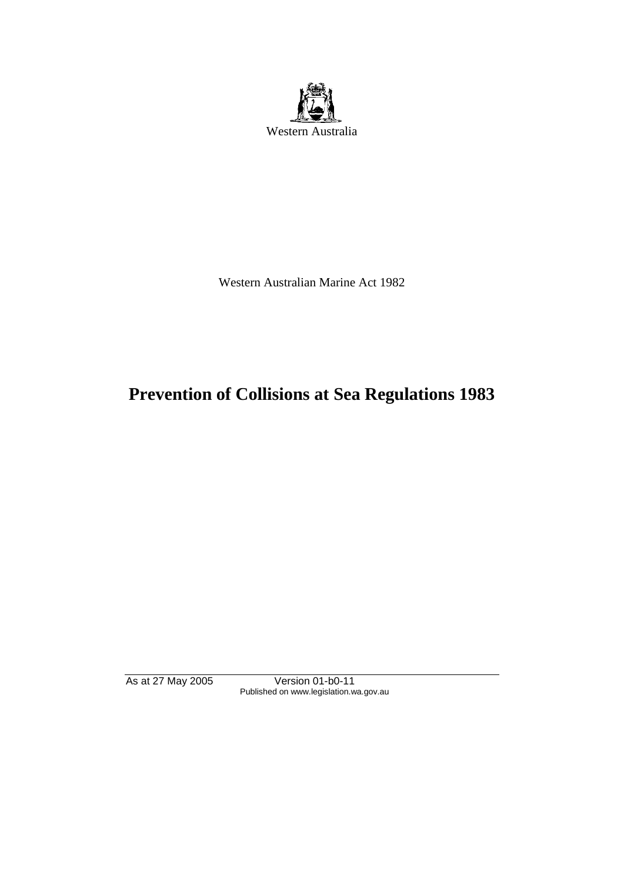

Western Australian Marine Act 1982

# **Prevention of Collisions at Sea Regulations 1983**

As at 27 May 2005 Version 01-b0-11 Published on www.legislation.wa.gov.au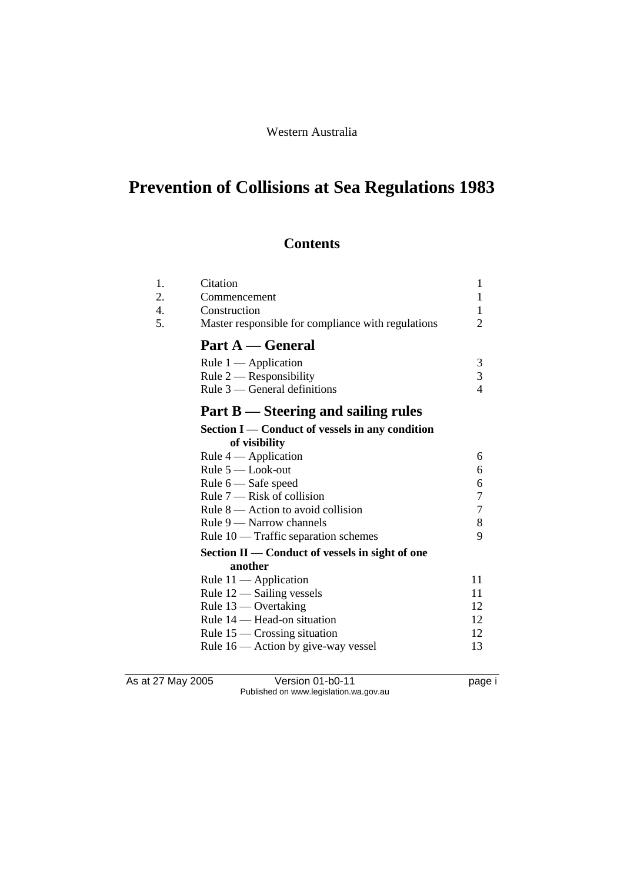## Western Australia

# **Prevention of Collisions at Sea Regulations 1983**

## **Contents**

| 1. | Citation                                           | 1            |
|----|----------------------------------------------------|--------------|
| 2. | Commencement                                       | $\mathbf{1}$ |
| 4. | Construction                                       | 1            |
| 5. | Master responsible for compliance with regulations | 2            |
|    | Part A — General                                   |              |
|    | Rule $1 -$ Application                             | 3            |
|    | Rule $2$ - Responsibility                          | 3            |
|    | Rule $3$ — General definitions                     | 4            |
|    | Part B — Steering and sailing rules                |              |
|    | Section I — Conduct of vessels in any condition    |              |
|    | of visibility                                      |              |
|    | Rule $4$ — Application                             | 6            |
|    | Rule $5 -$ Look-out                                | 6            |
|    | Rule $6$ — Safe speed                              | 6            |
|    | Rule $7$ — Risk of collision                       | 7            |
|    | Rule $8$ — Action to avoid collision               | $\tau$       |
|    | Rule $9$ — Narrow channels                         | 8            |
|    | Rule 10 - Traffic separation schemes               | 9            |
|    | Section II — Conduct of vessels in sight of one    |              |
|    | another                                            |              |
|    | Rule $11$ — Application                            | 11           |
|    | Rule $12$ - Sailing vessels                        | 11           |
|    | Rule 13 - Overtaking                               | 12           |
|    | Rule 14 — Head-on situation                        | 12           |
|    | Rule $15$ — Crossing situation                     | 12           |
|    | Rule 16 — Action by give-way vessel                | 13           |
|    |                                                    |              |

As at 27 May 2005 Version 01-b0-11 Page i Published on www.legislation.wa.gov.au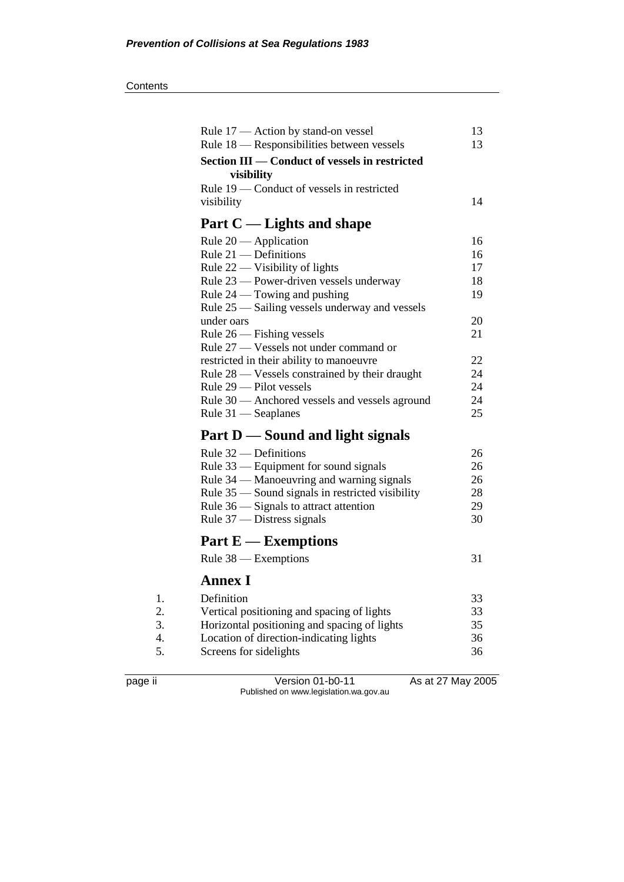#### **Contents**

|    | Rule 17 - Action by stand-on vessel                                       | 13 |
|----|---------------------------------------------------------------------------|----|
|    | Rule 18 - Responsibilities between vessels                                | 13 |
|    | Section III — Conduct of vessels in restricted<br>visibility              |    |
|    | Rule 19 — Conduct of vessels in restricted                                |    |
|    | visibility                                                                | 14 |
|    | Part C — Lights and shape                                                 |    |
|    | Rule 20 - Application                                                     | 16 |
|    | Rule $21 -$ Definitions                                                   | 16 |
|    | Rule 22 — Visibility of lights                                            | 17 |
|    | Rule 23 — Power-driven vessels underway                                   | 18 |
|    | Rule 24 — Towing and pushing                                              | 19 |
|    | Rule 25 — Sailing vessels underway and vessels                            |    |
|    | under oars                                                                | 20 |
|    | Rule 26 – Fishing vessels                                                 | 21 |
|    | Rule 27 — Vessels not under command or                                    |    |
|    | restricted in their ability to manoeuvre                                  | 22 |
|    | Rule 28 — Vessels constrained by their draught<br>Rule 29 — Pilot vessels | 24 |
|    |                                                                           | 24 |
|    | Rule 30 - Anchored vessels and vessels aground                            | 24 |
|    | Rule 31 - Seaplanes                                                       | 25 |
|    | Part $D$ — Sound and light signals                                        |    |
|    | Rule $32$ - Definitions                                                   | 26 |
|    | Rule 33 — Equipment for sound signals                                     | 26 |
|    | Rule 34 - Manoeuvring and warning signals                                 | 26 |
|    | Rule $35$ — Sound signals in restricted visibility                        | 28 |
|    | Rule 36 - Signals to attract attention                                    | 29 |
|    | Rule 37 — Distress signals                                                | 30 |
|    | Part $E$ — Exemptions                                                     |    |
|    | Rule $38$ — Exemptions                                                    | 31 |
|    | <b>Annex I</b>                                                            |    |
| 1. | Definition                                                                | 33 |
| 2. | Vertical positioning and spacing of lights                                | 33 |
| 3. | Horizontal positioning and spacing of lights                              | 35 |
| 4. | Location of direction-indicating lights                                   | 36 |
| 5. | Screens for sidelights                                                    | 36 |
|    |                                                                           |    |

page ii Version 01-b0-11 As at 27 May 2005 Published on www.legislation.wa.gov.au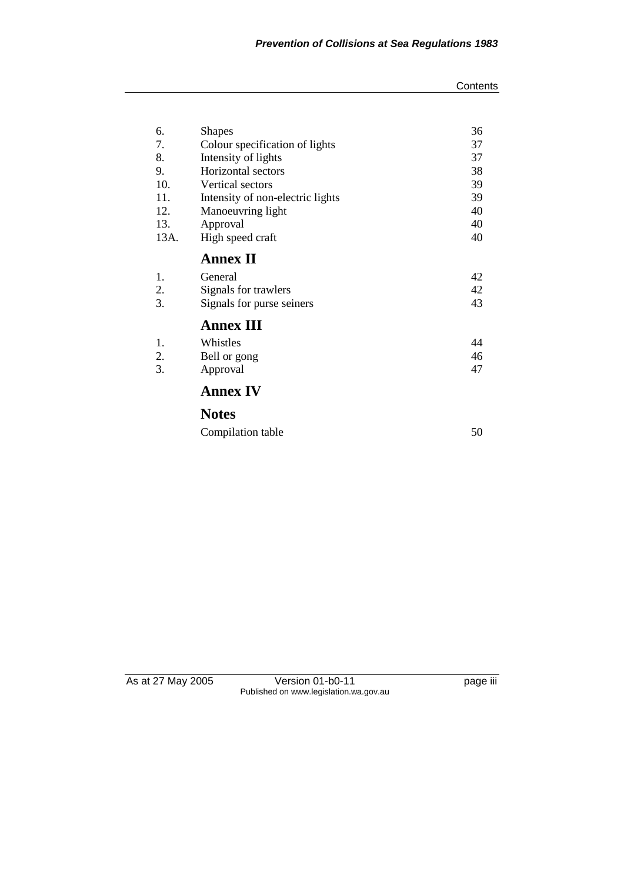| 6.   | <b>Shapes</b>                    | 36 |
|------|----------------------------------|----|
| 7.   | Colour specification of lights   | 37 |
| 8.   | Intensity of lights              | 37 |
| 9.   | Horizontal sectors               | 38 |
| 10.  | Vertical sectors                 | 39 |
| 11.  | Intensity of non-electric lights | 39 |
| 12.  | Manoeuvring light                | 40 |
| 13.  | Approval                         | 40 |
| 13A. | High speed craft                 | 40 |
|      | <b>Annex II</b>                  |    |
| 1.   | General                          | 42 |
| 2.   | Signals for trawlers             | 42 |
| 3.   | Signals for purse seiners        | 43 |
|      | <b>Annex III</b>                 |    |
| 1.   | Whistles                         | 44 |
| 2.   | Bell or gong                     | 46 |
| 3.   | Approval                         | 47 |
|      | <b>Annex IV</b>                  |    |
|      | <b>Notes</b>                     |    |
|      | Compilation table                | 50 |

As at 27 May 2005 Version 01-b0-11 page iii Published on www.legislation.wa.gov.au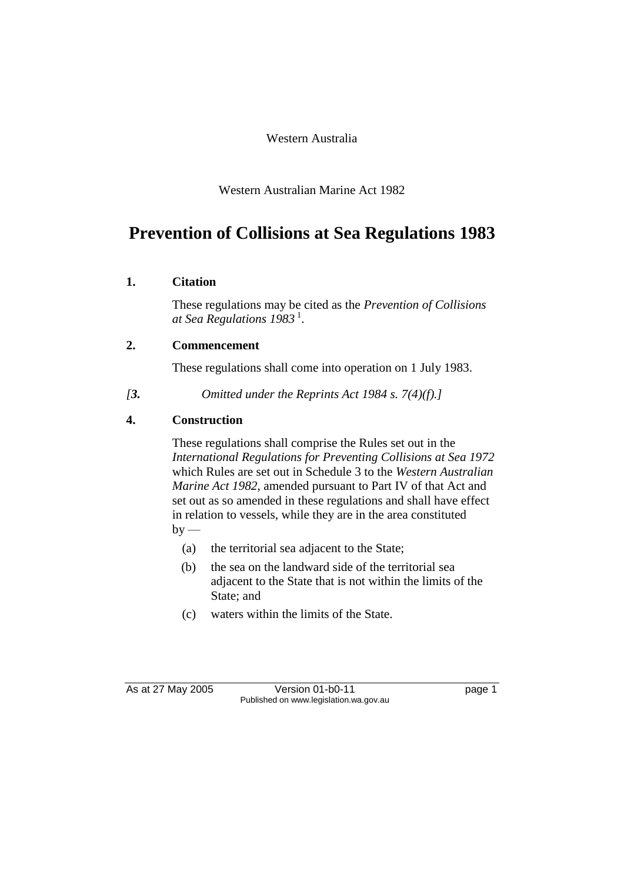## Western Australia

Western Australian Marine Act 1982

# **Prevention of Collisions at Sea Regulations 1983**

## **1. Citation**

These regulations may be cited as the *Prevention of Collisions at Sea Regulations 1983* <sup>1</sup> .

## **2. Commencement**

These regulations shall come into operation on 1 July 1983.

*[3. Omitted under the Reprints Act 1984 s. 7(4)(f).]*

## **4. Construction**

These regulations shall comprise the Rules set out in the *International Regulations for Preventing Collisions at Sea 1972* which Rules are set out in Schedule 3 to the *Western Australian Marine Act 1982*, amended pursuant to Part IV of that Act and set out as so amended in these regulations and shall have effect in relation to vessels, while they are in the area constituted  $by -$ 

- (a) the territorial sea adjacent to the State;
- (b) the sea on the landward side of the territorial sea adjacent to the State that is not within the limits of the State; and
- (c) waters within the limits of the State.

As at 27 May 2005 Version 01-b0-11 Page 1 Published on www.legislation.wa.gov.au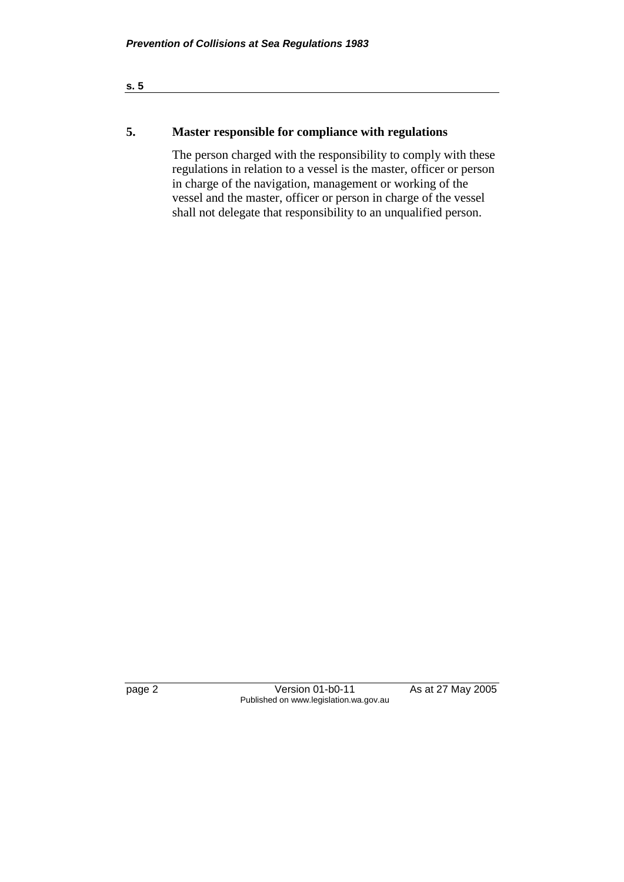#### **s. 5**

### **5. Master responsible for compliance with regulations**

The person charged with the responsibility to comply with these regulations in relation to a vessel is the master, officer or person in charge of the navigation, management or working of the vessel and the master, officer or person in charge of the vessel shall not delegate that responsibility to an unqualified person.

page 2 Version 01-b0-11 As at 27 May 2005 Published on www.legislation.wa.gov.au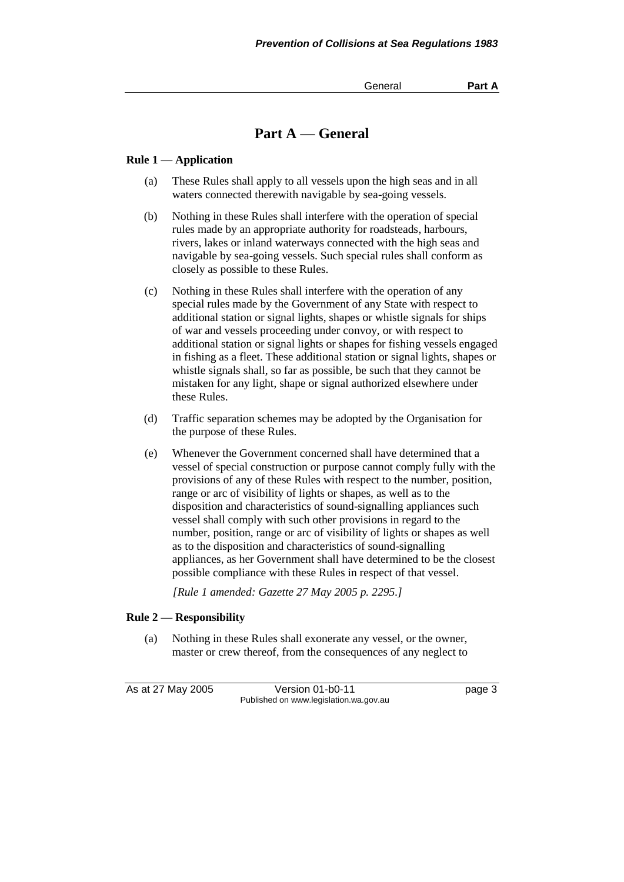General **Part A**

## **Part A — General**

#### **Rule 1 — Application**

- (a) These Rules shall apply to all vessels upon the high seas and in all waters connected therewith navigable by sea-going vessels.
- (b) Nothing in these Rules shall interfere with the operation of special rules made by an appropriate authority for roadsteads, harbours, rivers, lakes or inland waterways connected with the high seas and navigable by sea-going vessels. Such special rules shall conform as closely as possible to these Rules.
- (c) Nothing in these Rules shall interfere with the operation of any special rules made by the Government of any State with respect to additional station or signal lights, shapes or whistle signals for ships of war and vessels proceeding under convoy, or with respect to additional station or signal lights or shapes for fishing vessels engaged in fishing as a fleet. These additional station or signal lights, shapes or whistle signals shall, so far as possible, be such that they cannot be mistaken for any light, shape or signal authorized elsewhere under these Rules.
- (d) Traffic separation schemes may be adopted by the Organisation for the purpose of these Rules.
- (e) Whenever the Government concerned shall have determined that a vessel of special construction or purpose cannot comply fully with the provisions of any of these Rules with respect to the number, position, range or arc of visibility of lights or shapes, as well as to the disposition and characteristics of sound-signalling appliances such vessel shall comply with such other provisions in regard to the number, position, range or arc of visibility of lights or shapes as well as to the disposition and characteristics of sound-signalling appliances, as her Government shall have determined to be the closest possible compliance with these Rules in respect of that vessel.

*[Rule 1 amended: Gazette 27 May 2005 p. 2295.]* 

#### **Rule 2 — Responsibility**

(a) Nothing in these Rules shall exonerate any vessel, or the owner, master or crew thereof, from the consequences of any neglect to

As at 27 May 2005 Version 01-b0-11 page 3 Published on www.legislation.wa.gov.au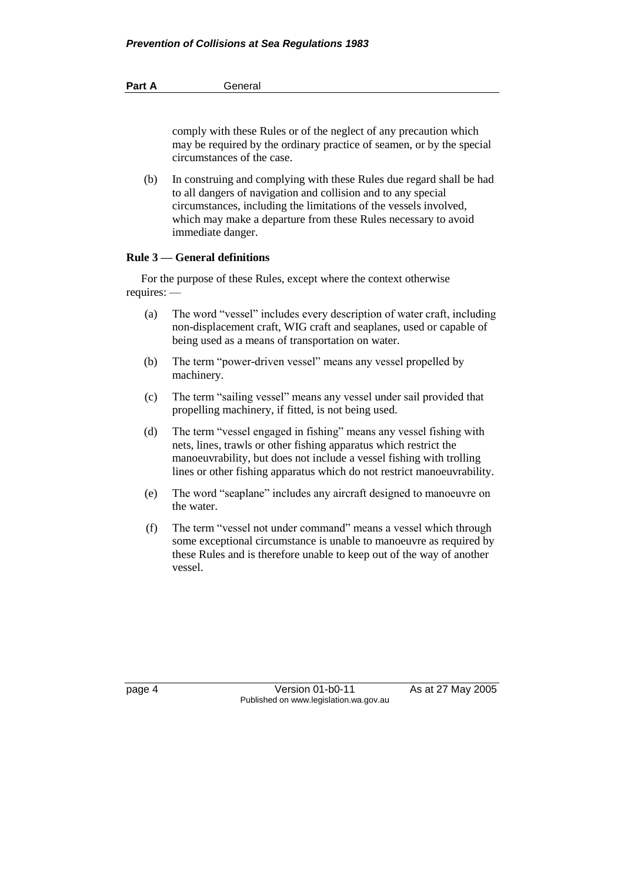#### Part A **General**

comply with these Rules or of the neglect of any precaution which may be required by the ordinary practice of seamen, or by the special circumstances of the case.

(b) In construing and complying with these Rules due regard shall be had to all dangers of navigation and collision and to any special circumstances, including the limitations of the vessels involved, which may make a departure from these Rules necessary to avoid immediate danger.

#### **Rule 3 — General definitions**

For the purpose of these Rules, except where the context otherwise requires: —

- (a) The word "vessel" includes every description of water craft, including non-displacement craft, WIG craft and seaplanes, used or capable of being used as a means of transportation on water.
- (b) The term "power-driven vessel" means any vessel propelled by machinery.
- (c) The term "sailing vessel" means any vessel under sail provided that propelling machinery, if fitted, is not being used.
- (d) The term "vessel engaged in fishing" means any vessel fishing with nets, lines, trawls or other fishing apparatus which restrict the manoeuvrability, but does not include a vessel fishing with trolling lines or other fishing apparatus which do not restrict manoeuvrability.
- (e) The word "seaplane" includes any aircraft designed to manoeuvre on the water.
- (f) The term "vessel not under command" means a vessel which through some exceptional circumstance is unable to manoeuvre as required by these Rules and is therefore unable to keep out of the way of another vessel.

page 4 Version 01-b0-11 As at 27 May 2005 Published on www.legislation.wa.gov.au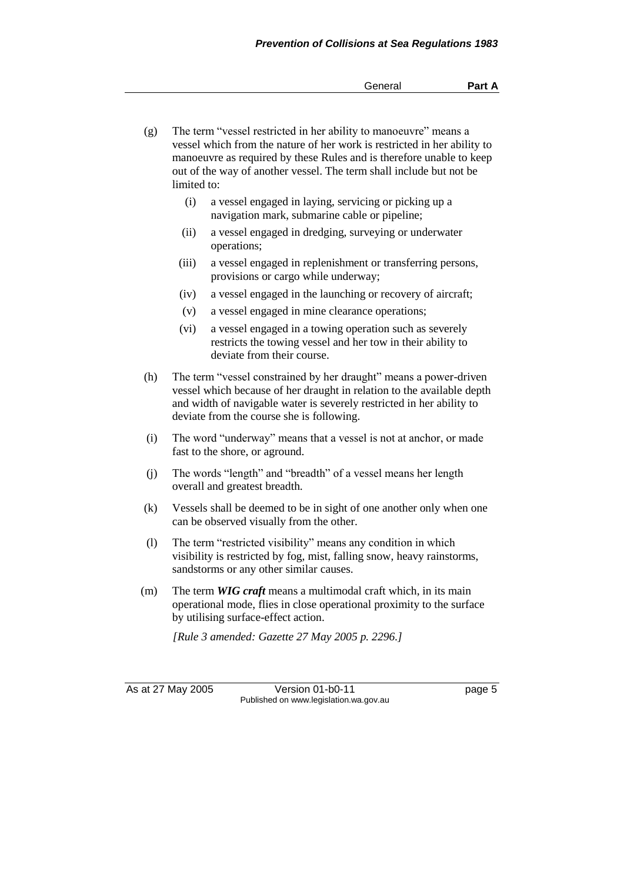| <b>Part A</b><br>General |
|--------------------------|
|--------------------------|

- (g) The term "vessel restricted in her ability to manoeuvre" means a vessel which from the nature of her work is restricted in her ability to manoeuvre as required by these Rules and is therefore unable to keep out of the way of another vessel. The term shall include but not be limited to:
	- (i) a vessel engaged in laying, servicing or picking up a navigation mark, submarine cable or pipeline;
	- (ii) a vessel engaged in dredging, surveying or underwater operations;
	- (iii) a vessel engaged in replenishment or transferring persons, provisions or cargo while underway;
	- (iv) a vessel engaged in the launching or recovery of aircraft;
	- (v) a vessel engaged in mine clearance operations;
	- (vi) a vessel engaged in a towing operation such as severely restricts the towing vessel and her tow in their ability to deviate from their course.
- (h) The term "vessel constrained by her draught" means a power-driven vessel which because of her draught in relation to the available depth and width of navigable water is severely restricted in her ability to deviate from the course she is following.
- (i) The word "underway" means that a vessel is not at anchor, or made fast to the shore, or aground.
- (j) The words "length" and "breadth" of a vessel means her length overall and greatest breadth.
- (k) Vessels shall be deemed to be in sight of one another only when one can be observed visually from the other.
- (l) The term "restricted visibility" means any condition in which visibility is restricted by fog, mist, falling snow, heavy rainstorms, sandstorms or any other similar causes.
- (m) The term *WIG craft* means a multimodal craft which, in its main operational mode, flies in close operational proximity to the surface by utilising surface-effect action.

*[Rule 3 amended: Gazette 27 May 2005 p. 2296.]* 

As at 27 May 2005 Version 01-b0-11 Page 5 Published on www.legislation.wa.gov.au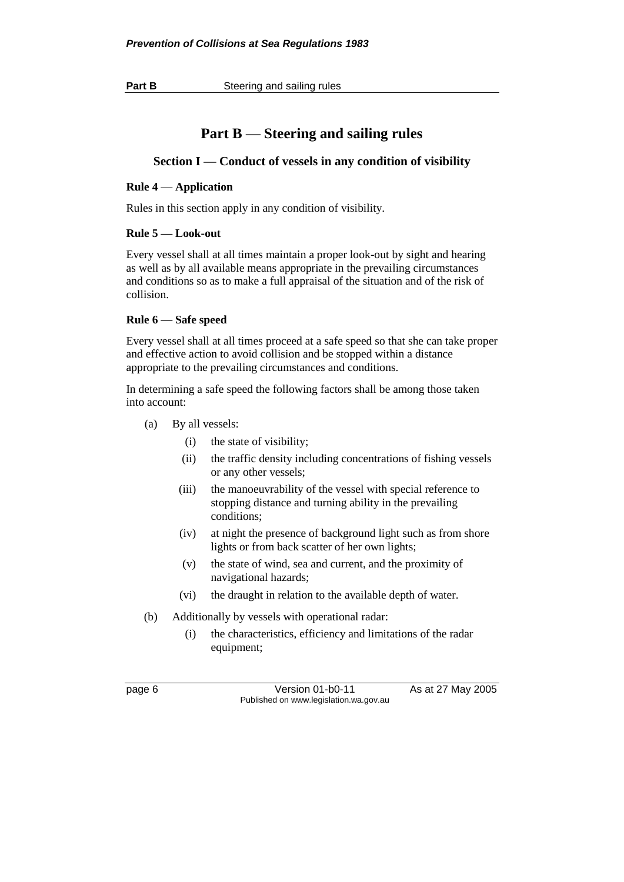**Part B** Steering and sailing rules

## **Part B — Steering and sailing rules**

## **Section I — Conduct of vessels in any condition of visibility**

#### **Rule 4 — Application**

Rules in this section apply in any condition of visibility.

#### **Rule 5 — Look-out**

Every vessel shall at all times maintain a proper look-out by sight and hearing as well as by all available means appropriate in the prevailing circumstances and conditions so as to make a full appraisal of the situation and of the risk of collision.

#### **Rule 6 — Safe speed**

Every vessel shall at all times proceed at a safe speed so that she can take proper and effective action to avoid collision and be stopped within a distance appropriate to the prevailing circumstances and conditions.

In determining a safe speed the following factors shall be among those taken into account:

- (a) By all vessels:
	- (i) the state of visibility;
	- (ii) the traffic density including concentrations of fishing vessels or any other vessels;
	- (iii) the manoeuvrability of the vessel with special reference to stopping distance and turning ability in the prevailing conditions;
	- (iv) at night the presence of background light such as from shore lights or from back scatter of her own lights;
	- (v) the state of wind, sea and current, and the proximity of navigational hazards;
	- (vi) the draught in relation to the available depth of water.
- (b) Additionally by vessels with operational radar:
	- (i) the characteristics, efficiency and limitations of the radar equipment;

page 6 Version 01-b0-11 As at 27 May 2005 Published on www.legislation.wa.gov.au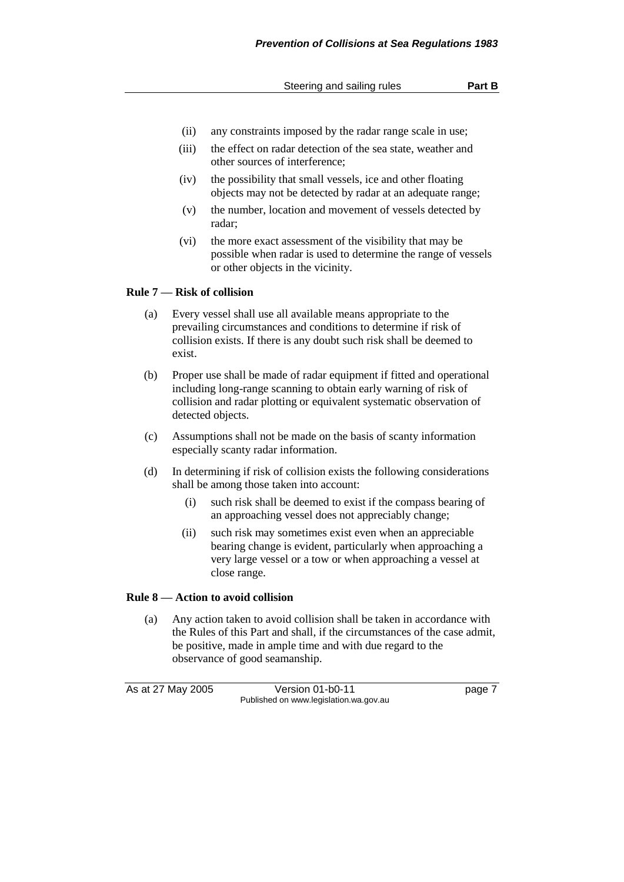- (ii) any constraints imposed by the radar range scale in use;
- (iii) the effect on radar detection of the sea state, weather and other sources of interference;
- (iv) the possibility that small vessels, ice and other floating objects may not be detected by radar at an adequate range;
- (v) the number, location and movement of vessels detected by radar;
- (vi) the more exact assessment of the visibility that may be possible when radar is used to determine the range of vessels or other objects in the vicinity.

#### **Rule 7 — Risk of collision**

- (a) Every vessel shall use all available means appropriate to the prevailing circumstances and conditions to determine if risk of collision exists. If there is any doubt such risk shall be deemed to exist.
- (b) Proper use shall be made of radar equipment if fitted and operational including long-range scanning to obtain early warning of risk of collision and radar plotting or equivalent systematic observation of detected objects.
- (c) Assumptions shall not be made on the basis of scanty information especially scanty radar information.
- (d) In determining if risk of collision exists the following considerations shall be among those taken into account:
	- (i) such risk shall be deemed to exist if the compass bearing of an approaching vessel does not appreciably change;
	- (ii) such risk may sometimes exist even when an appreciable bearing change is evident, particularly when approaching a very large vessel or a tow or when approaching a vessel at close range.

#### **Rule 8 — Action to avoid collision**

(a) Any action taken to avoid collision shall be taken in accordance with the Rules of this Part and shall, if the circumstances of the case admit, be positive, made in ample time and with due regard to the observance of good seamanship.

As at 27 May 2005 Version 01-b0-11 page 7 Published on www.legislation.wa.gov.au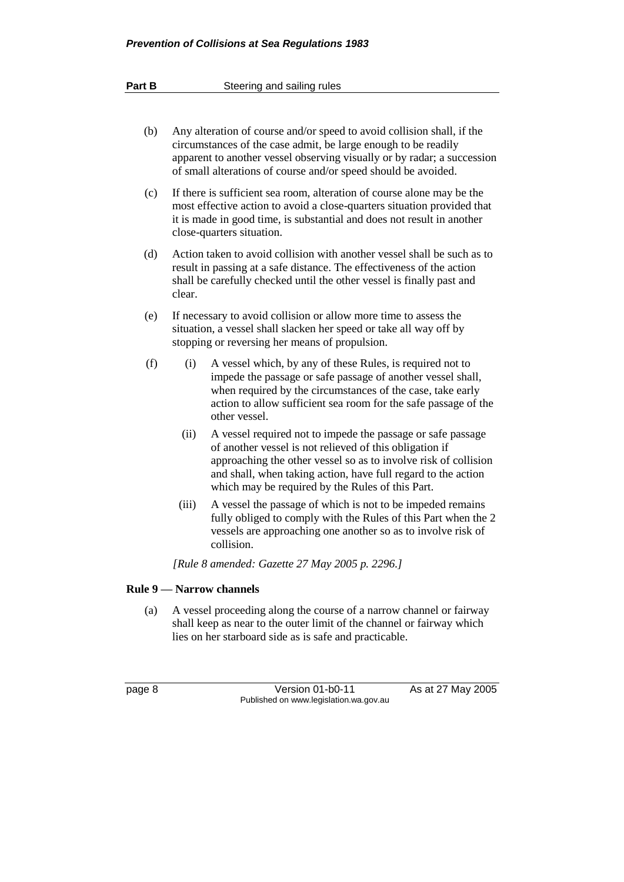| Part B |                                                                                                                                                                                                        | Steering and sailing rules                                                                                                                                                                                                                                                                                     |                   |  |  |
|--------|--------------------------------------------------------------------------------------------------------------------------------------------------------------------------------------------------------|----------------------------------------------------------------------------------------------------------------------------------------------------------------------------------------------------------------------------------------------------------------------------------------------------------------|-------------------|--|--|
|        |                                                                                                                                                                                                        |                                                                                                                                                                                                                                                                                                                |                   |  |  |
| (b)    |                                                                                                                                                                                                        | Any alteration of course and/or speed to avoid collision shall, if the<br>circumstances of the case admit, be large enough to be readily<br>apparent to another vessel observing visually or by radar; a succession<br>of small alterations of course and/or speed should be avoided.                          |                   |  |  |
| (c)    |                                                                                                                                                                                                        | If there is sufficient sea room, alteration of course alone may be the<br>most effective action to avoid a close-quarters situation provided that<br>it is made in good time, is substantial and does not result in another<br>close-quarters situation.                                                       |                   |  |  |
| (d)    | clear.                                                                                                                                                                                                 | Action taken to avoid collision with another vessel shall be such as to<br>result in passing at a safe distance. The effectiveness of the action<br>shall be carefully checked until the other vessel is finally past and                                                                                      |                   |  |  |
| (e)    |                                                                                                                                                                                                        | If necessary to avoid collision or allow more time to assess the<br>situation, a vessel shall slacken her speed or take all way off by<br>stopping or reversing her means of propulsion.                                                                                                                       |                   |  |  |
| (f)    | (i)                                                                                                                                                                                                    | A vessel which, by any of these Rules, is required not to<br>impede the passage or safe passage of another vessel shall,<br>when required by the circumstances of the case, take early<br>action to allow sufficient sea room for the safe passage of the<br>other vessel.                                     |                   |  |  |
|        | (ii)                                                                                                                                                                                                   | A vessel required not to impede the passage or safe passage<br>of another vessel is not relieved of this obligation if<br>approaching the other vessel so as to involve risk of collision<br>and shall, when taking action, have full regard to the action<br>which may be required by the Rules of this Part. |                   |  |  |
|        | (iii)                                                                                                                                                                                                  | A vessel the passage of which is not to be impeded remains<br>fully obliged to comply with the Rules of this Part when the 2<br>vessels are approaching one another so as to involve risk of<br>collision.                                                                                                     |                   |  |  |
|        |                                                                                                                                                                                                        | [Rule 8 amended: Gazette 27 May 2005 p. 2296.]                                                                                                                                                                                                                                                                 |                   |  |  |
|        |                                                                                                                                                                                                        | <b>Rule 9 — Narrow channels</b>                                                                                                                                                                                                                                                                                |                   |  |  |
| (a)    | A vessel proceeding along the course of a narrow channel or fairway<br>shall keep as near to the outer limit of the channel or fairway which<br>lies on her starboard side as is safe and practicable. |                                                                                                                                                                                                                                                                                                                |                   |  |  |
| page 8 |                                                                                                                                                                                                        | Version 01-b0-11<br>Published on www.legislation.wa.gov.au                                                                                                                                                                                                                                                     | As at 27 May 2005 |  |  |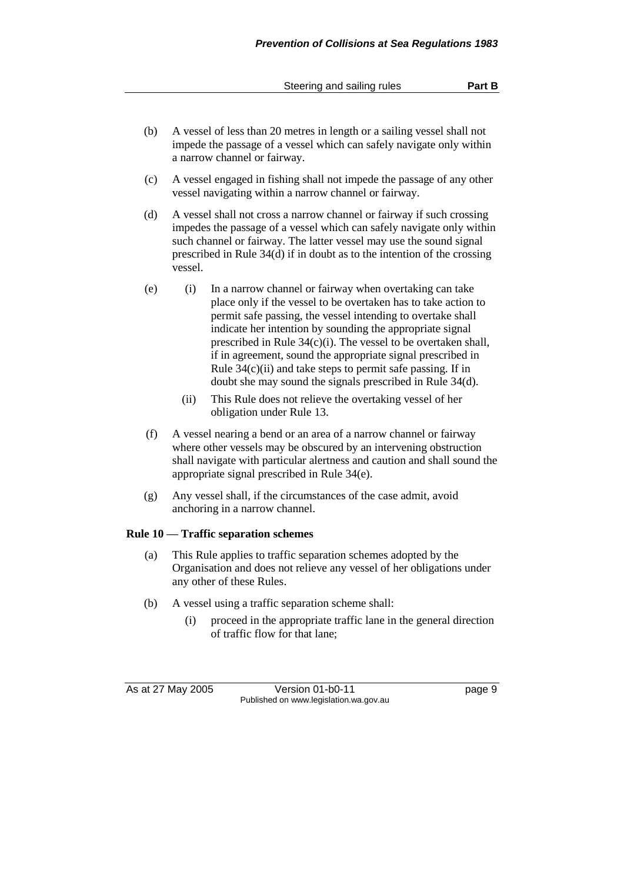- (c) A vessel engaged in fishing shall not impede the passage of any other vessel navigating within a narrow channel or fairway.
- (d) A vessel shall not cross a narrow channel or fairway if such crossing impedes the passage of a vessel which can safely navigate only within such channel or fairway. The latter vessel may use the sound signal prescribed in Rule 34(d) if in doubt as to the intention of the crossing vessel.
- (e) (i) In a narrow channel or fairway when overtaking can take place only if the vessel to be overtaken has to take action to permit safe passing, the vessel intending to overtake shall indicate her intention by sounding the appropriate signal prescribed in Rule 34(c)(i). The vessel to be overtaken shall, if in agreement, sound the appropriate signal prescribed in Rule 34(c)(ii) and take steps to permit safe passing. If in doubt she may sound the signals prescribed in Rule 34(d).
	- (ii) This Rule does not relieve the overtaking vessel of her obligation under Rule 13.
- (f) A vessel nearing a bend or an area of a narrow channel or fairway where other vessels may be obscured by an intervening obstruction shall navigate with particular alertness and caution and shall sound the appropriate signal prescribed in Rule 34(e).
- (g) Any vessel shall, if the circumstances of the case admit, avoid anchoring in a narrow channel.

#### **Rule 10 — Traffic separation schemes**

- (a) This Rule applies to traffic separation schemes adopted by the Organisation and does not relieve any vessel of her obligations under any other of these Rules.
- (b) A vessel using a traffic separation scheme shall:
	- (i) proceed in the appropriate traffic lane in the general direction of traffic flow for that lane;

As at 27 May 2005 Version 01-b0-11 page 9 Published on www.legislation.wa.gov.au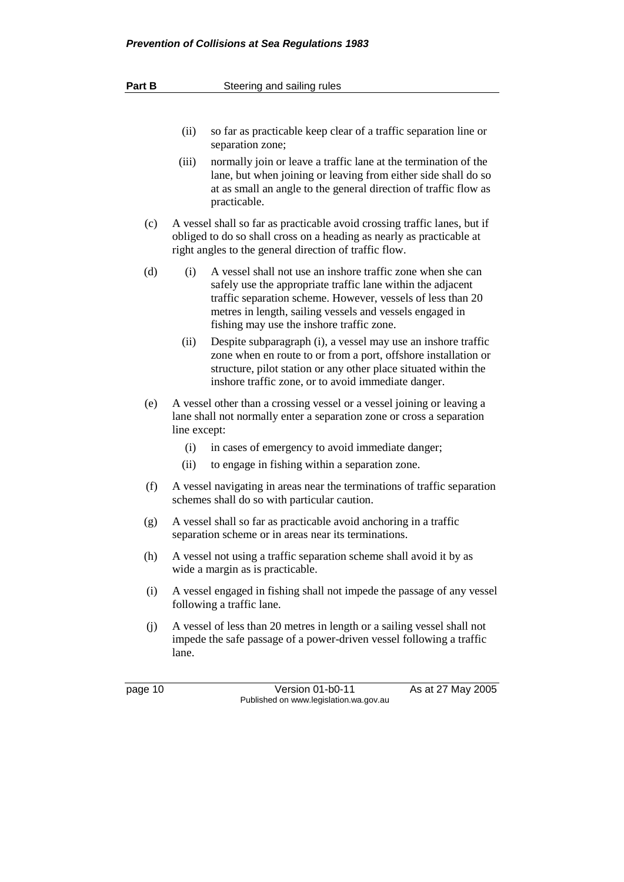| <b>Part B</b> |              | Steering and sailing rules                                                                                                                                                                                                                                                                         |
|---------------|--------------|----------------------------------------------------------------------------------------------------------------------------------------------------------------------------------------------------------------------------------------------------------------------------------------------------|
|               |              |                                                                                                                                                                                                                                                                                                    |
|               | (ii)         | so far as practicable keep clear of a traffic separation line or<br>separation zone;                                                                                                                                                                                                               |
|               | (iii)        | normally join or leave a traffic lane at the termination of the<br>lane, but when joining or leaving from either side shall do so<br>at as small an angle to the general direction of traffic flow as<br>practicable.                                                                              |
| (c)           |              | A vessel shall so far as practicable avoid crossing traffic lanes, but if<br>obliged to do so shall cross on a heading as nearly as practicable at<br>right angles to the general direction of traffic flow.                                                                                       |
| (d)           | (i)          | A vessel shall not use an inshore traffic zone when she can<br>safely use the appropriate traffic lane within the adjacent<br>traffic separation scheme. However, vessels of less than 20<br>metres in length, sailing vessels and vessels engaged in<br>fishing may use the inshore traffic zone. |
|               | (ii)         | Despite subparagraph (i), a vessel may use an inshore traffic<br>zone when en route to or from a port, offshore installation or<br>structure, pilot station or any other place situated within the<br>inshore traffic zone, or to avoid immediate danger.                                          |
| (e)           | line except: | A vessel other than a crossing vessel or a vessel joining or leaving a<br>lane shall not normally enter a separation zone or cross a separation                                                                                                                                                    |
|               | (i)          | in cases of emergency to avoid immediate danger;                                                                                                                                                                                                                                                   |
|               | (ii)         | to engage in fishing within a separation zone.                                                                                                                                                                                                                                                     |
| (f)           |              | A vessel navigating in areas near the terminations of traffic separation<br>schemes shall do so with particular caution.                                                                                                                                                                           |

- (g) A vessel shall so far as practicable avoid anchoring in a traffic separation scheme or in areas near its terminations.
- (h) A vessel not using a traffic separation scheme shall avoid it by as wide a margin as is practicable.
- (i) A vessel engaged in fishing shall not impede the passage of any vessel following a traffic lane.
- (j) A vessel of less than 20 metres in length or a sailing vessel shall not impede the safe passage of a power-driven vessel following a traffic lane.

page 10 Version 01-b0-11 As at 27 May 2005 Published on www.legislation.wa.gov.au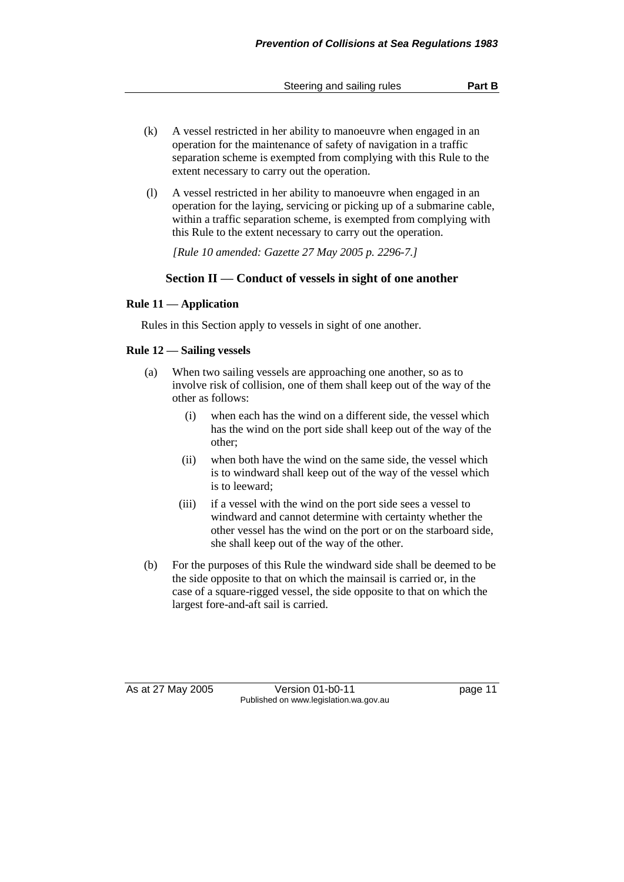- (k) A vessel restricted in her ability to manoeuvre when engaged in an operation for the maintenance of safety of navigation in a traffic separation scheme is exempted from complying with this Rule to the extent necessary to carry out the operation.
- (l) A vessel restricted in her ability to manoeuvre when engaged in an operation for the laying, servicing or picking up of a submarine cable, within a traffic separation scheme, is exempted from complying with this Rule to the extent necessary to carry out the operation.

*[Rule 10 amended: Gazette 27 May 2005 p. 2296-7.]* 

#### **Section II — Conduct of vessels in sight of one another**

#### **Rule 11 — Application**

Rules in this Section apply to vessels in sight of one another.

#### **Rule 12 — Sailing vessels**

- (a) When two sailing vessels are approaching one another, so as to involve risk of collision, one of them shall keep out of the way of the other as follows:
	- (i) when each has the wind on a different side, the vessel which has the wind on the port side shall keep out of the way of the other;
	- (ii) when both have the wind on the same side, the vessel which is to windward shall keep out of the way of the vessel which is to leeward;
	- (iii) if a vessel with the wind on the port side sees a vessel to windward and cannot determine with certainty whether the other vessel has the wind on the port or on the starboard side, she shall keep out of the way of the other.
- (b) For the purposes of this Rule the windward side shall be deemed to be the side opposite to that on which the mainsail is carried or, in the case of a square-rigged vessel, the side opposite to that on which the largest fore-and-aft sail is carried.

As at 27 May 2005 Version 01-b0-11 page 11 Published on www.legislation.wa.gov.au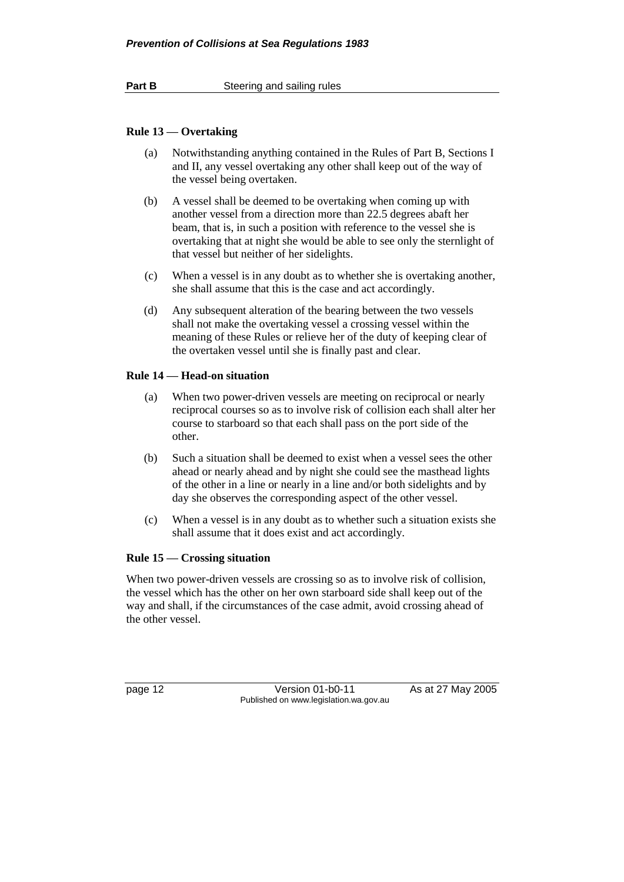**Part B** Steering and sailing rules

#### **Rule 13 — Overtaking**

- (a) Notwithstanding anything contained in the Rules of Part B, Sections I and II, any vessel overtaking any other shall keep out of the way of the vessel being overtaken.
- (b) A vessel shall be deemed to be overtaking when coming up with another vessel from a direction more than 22.5 degrees abaft her beam, that is, in such a position with reference to the vessel she is overtaking that at night she would be able to see only the sternlight of that vessel but neither of her sidelights.
- (c) When a vessel is in any doubt as to whether she is overtaking another, she shall assume that this is the case and act accordingly.
- (d) Any subsequent alteration of the bearing between the two vessels shall not make the overtaking vessel a crossing vessel within the meaning of these Rules or relieve her of the duty of keeping clear of the overtaken vessel until she is finally past and clear.

#### **Rule 14 — Head-on situation**

- (a) When two power-driven vessels are meeting on reciprocal or nearly reciprocal courses so as to involve risk of collision each shall alter her course to starboard so that each shall pass on the port side of the other.
- (b) Such a situation shall be deemed to exist when a vessel sees the other ahead or nearly ahead and by night she could see the masthead lights of the other in a line or nearly in a line and/or both sidelights and by day she observes the corresponding aspect of the other vessel.
- (c) When a vessel is in any doubt as to whether such a situation exists she shall assume that it does exist and act accordingly.

#### **Rule 15 — Crossing situation**

When two power-driven vessels are crossing so as to involve risk of collision, the vessel which has the other on her own starboard side shall keep out of the way and shall, if the circumstances of the case admit, avoid crossing ahead of the other vessel.

page 12 Version 01-b0-11 As at 27 May 2005 Published on www.legislation.wa.gov.au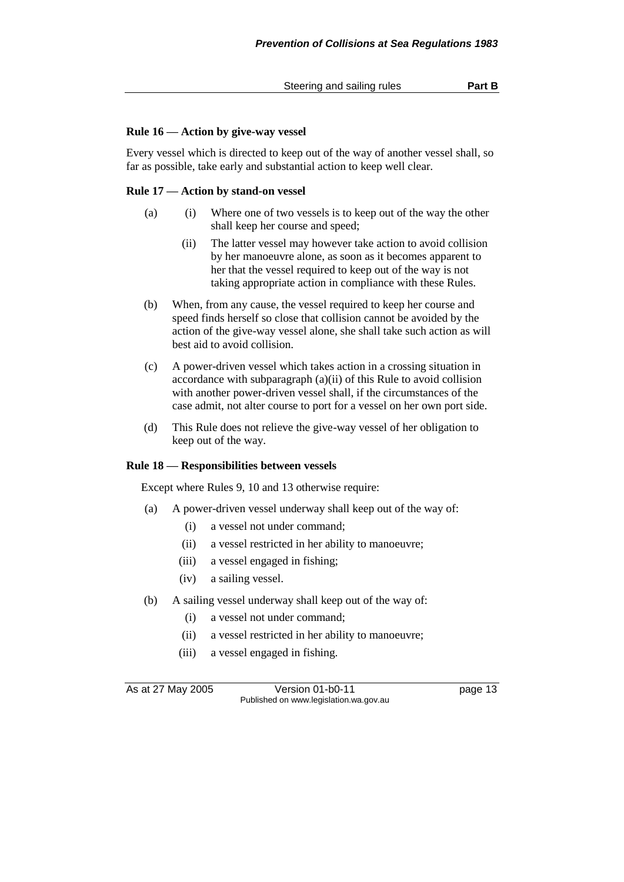#### **Rule 16 — Action by give-way vessel**

Every vessel which is directed to keep out of the way of another vessel shall, so far as possible, take early and substantial action to keep well clear.

#### **Rule 17 — Action by stand-on vessel**

- (a) (i) Where one of two vessels is to keep out of the way the other shall keep her course and speed;
	- (ii) The latter vessel may however take action to avoid collision by her manoeuvre alone, as soon as it becomes apparent to her that the vessel required to keep out of the way is not taking appropriate action in compliance with these Rules.
- (b) When, from any cause, the vessel required to keep her course and speed finds herself so close that collision cannot be avoided by the action of the give-way vessel alone, she shall take such action as will best aid to avoid collision.
- (c) A power-driven vessel which takes action in a crossing situation in accordance with subparagraph (a)(ii) of this Rule to avoid collision with another power-driven vessel shall, if the circumstances of the case admit, not alter course to port for a vessel on her own port side.
- (d) This Rule does not relieve the give-way vessel of her obligation to keep out of the way.

#### **Rule 18 — Responsibilities between vessels**

Except where Rules 9, 10 and 13 otherwise require:

- (a) A power-driven vessel underway shall keep out of the way of:
	- (i) a vessel not under command;
	- (ii) a vessel restricted in her ability to manoeuvre;
	- (iii) a vessel engaged in fishing;
	- (iv) a sailing vessel.
- (b) A sailing vessel underway shall keep out of the way of:
	- (i) a vessel not under command;
	- (ii) a vessel restricted in her ability to manoeuvre;
	- (iii) a vessel engaged in fishing.

As at 27 May 2005 Version 01-b0-11 page 13 Published on www.legislation.wa.gov.au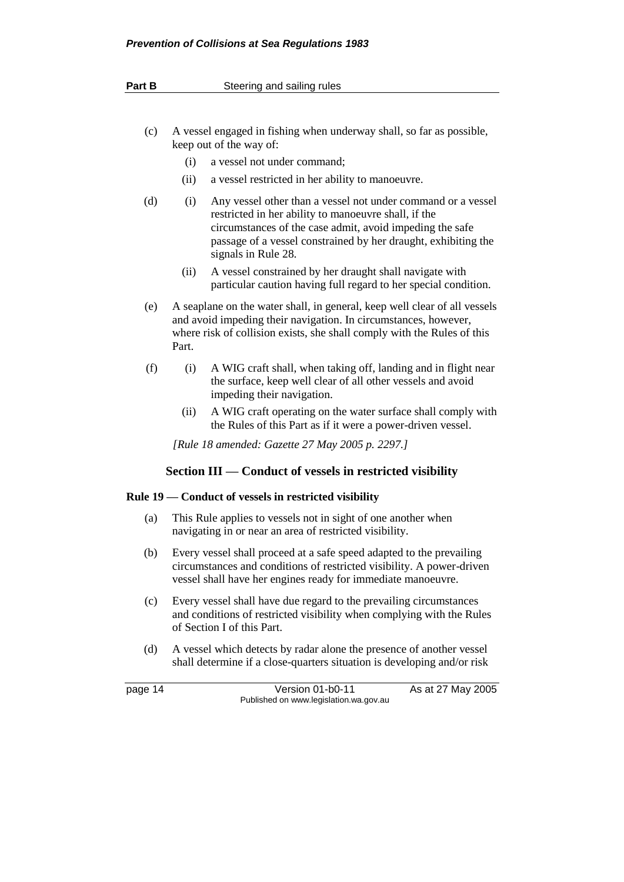| Part B |                                                                                                                                                                                                               | Steering and sailing rules                                                                                                                                                                                                                                                |
|--------|---------------------------------------------------------------------------------------------------------------------------------------------------------------------------------------------------------------|---------------------------------------------------------------------------------------------------------------------------------------------------------------------------------------------------------------------------------------------------------------------------|
|        |                                                                                                                                                                                                               |                                                                                                                                                                                                                                                                           |
| (c)    |                                                                                                                                                                                                               | A vessel engaged in fishing when underway shall, so far as possible,<br>keep out of the way of:                                                                                                                                                                           |
|        | (i)                                                                                                                                                                                                           | a vessel not under command;                                                                                                                                                                                                                                               |
|        | (ii)                                                                                                                                                                                                          | a vessel restricted in her ability to manoeuvre.                                                                                                                                                                                                                          |
| (d)    | (i)                                                                                                                                                                                                           | Any vessel other than a vessel not under command or a vessel<br>restricted in her ability to manoeuvre shall, if the<br>circumstances of the case admit, avoid impeding the safe<br>passage of a vessel constrained by her draught, exhibiting the<br>signals in Rule 28. |
|        | (ii)                                                                                                                                                                                                          | A vessel constrained by her draught shall navigate with<br>particular caution having full regard to her special condition.                                                                                                                                                |
| (e)    | Part.                                                                                                                                                                                                         | A seaplane on the water shall, in general, keep well clear of all vessels<br>and avoid impeding their navigation. In circumstances, however,<br>where risk of collision exists, she shall comply with the Rules of this                                                   |
| (f)    | (i)                                                                                                                                                                                                           | A WIG craft shall, when taking off, landing and in flight near<br>the surface, keep well clear of all other vessels and avoid<br>impeding their navigation.                                                                                                               |
|        | (ii)                                                                                                                                                                                                          | A WIG craft operating on the water surface shall comply with<br>the Rules of this Part as if it were a power-driven vessel.                                                                                                                                               |
|        |                                                                                                                                                                                                               | [Rule 18 amended: Gazette 27 May 2005 p. 2297.]                                                                                                                                                                                                                           |
|        |                                                                                                                                                                                                               | Section III - Conduct of vessels in restricted visibility                                                                                                                                                                                                                 |
|        |                                                                                                                                                                                                               | Rule 19 – Conduct of vessels in restricted visibility                                                                                                                                                                                                                     |
| (a)    |                                                                                                                                                                                                               | This Rule applies to vessels not in sight of one another when<br>navigating in or near an area of restricted visibility.                                                                                                                                                  |
| (b)    | Every vessel shall proceed at a safe speed adapted to the prevailing<br>circumstances and conditions of restricted visibility. A power-driven<br>vessel shall have her engines ready for immediate manoeuvre. |                                                                                                                                                                                                                                                                           |
| (c)    |                                                                                                                                                                                                               | Every vessel shall have due regard to the prevailing circumstances<br>and conditions of restricted visibility when complying with the Rules<br>of Section I of this Part.                                                                                                 |
| (d)    |                                                                                                                                                                                                               | A vessel which detects by radar alone the presence of another vessel                                                                                                                                                                                                      |

shall determine if a close-quarters situation is developing and/or risk

page 14 Version 01-b0-11 As at 27 May 2005 Published on www.legislation.wa.gov.au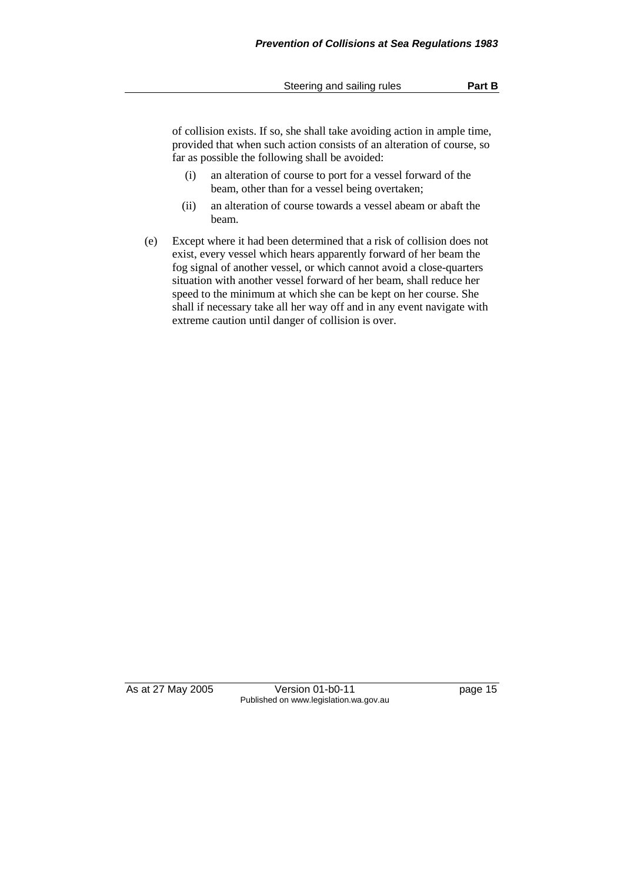- (i) an alteration of course to port for a vessel forward of the beam, other than for a vessel being overtaken;
- (ii) an alteration of course towards a vessel abeam or abaft the beam.
- (e) Except where it had been determined that a risk of collision does not exist, every vessel which hears apparently forward of her beam the fog signal of another vessel, or which cannot avoid a close-quarters situation with another vessel forward of her beam, shall reduce her speed to the minimum at which she can be kept on her course. She shall if necessary take all her way off and in any event navigate with extreme caution until danger of collision is over.

As at 27 May 2005 Version 01-b0-11 page 15 Published on www.legislation.wa.gov.au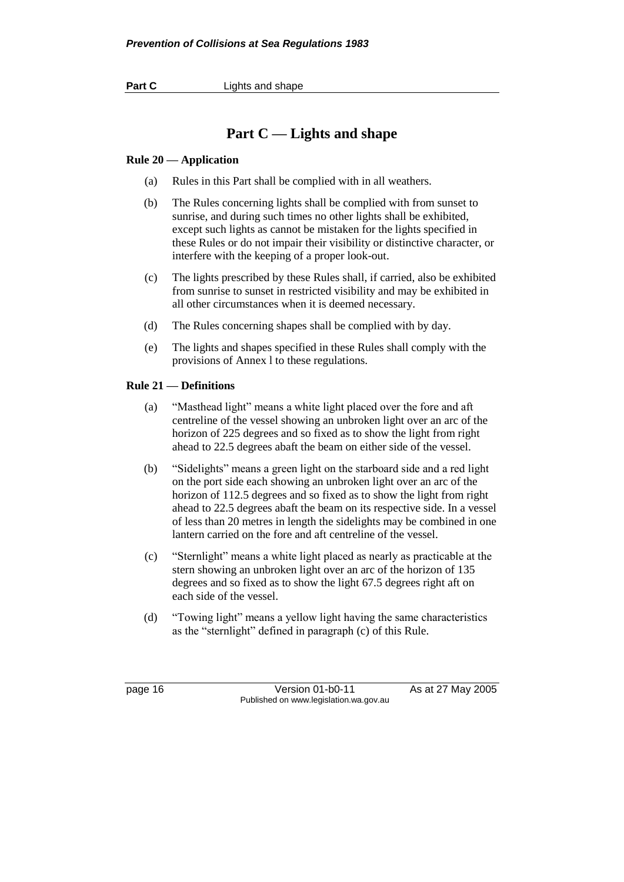**Part C** Lights and shape

## **Part C — Lights and shape**

#### **Rule 20 — Application**

- (a) Rules in this Part shall be complied with in all weathers.
- (b) The Rules concerning lights shall be complied with from sunset to sunrise, and during such times no other lights shall be exhibited, except such lights as cannot be mistaken for the lights specified in these Rules or do not impair their visibility or distinctive character, or interfere with the keeping of a proper look-out.
- (c) The lights prescribed by these Rules shall, if carried, also be exhibited from sunrise to sunset in restricted visibility and may be exhibited in all other circumstances when it is deemed necessary.
- (d) The Rules concerning shapes shall be complied with by day.
- (e) The lights and shapes specified in these Rules shall comply with the provisions of Annex l to these regulations.

#### **Rule 21 — Definitions**

- (a) "Masthead light" means a white light placed over the fore and aft centreline of the vessel showing an unbroken light over an arc of the horizon of 225 degrees and so fixed as to show the light from right ahead to 22.5 degrees abaft the beam on either side of the vessel.
- (b) "Sidelights" means a green light on the starboard side and a red light on the port side each showing an unbroken light over an arc of the horizon of 112.5 degrees and so fixed as to show the light from right ahead to 22.5 degrees abaft the beam on its respective side. In a vessel of less than 20 metres in length the sidelights may be combined in one lantern carried on the fore and aft centreline of the vessel.
- (c) "Sternlight" means a white light placed as nearly as practicable at the stern showing an unbroken light over an arc of the horizon of 135 degrees and so fixed as to show the light 67.5 degrees right aft on each side of the vessel.
- (d) "Towing light" means a yellow light having the same characteristics as the "sternlight" defined in paragraph (c) of this Rule.

page 16 Version 01-b0-11 As at 27 May 2005 Published on www.legislation.wa.gov.au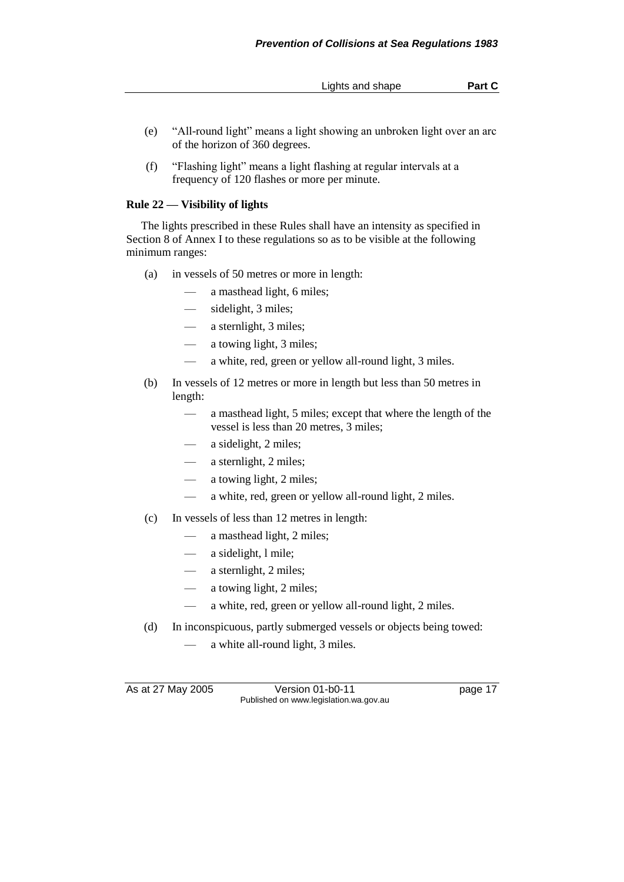```
(e) "All-round light" means a light showing an unbroken light over an arc 
of the horizon of 360 degrees.
```
(f) "Flashing light" means a light flashing at regular intervals at a frequency of 120 flashes or more per minute.

#### **Rule 22 — Visibility of lights**

The lights prescribed in these Rules shall have an intensity as specified in Section 8 of Annex I to these regulations so as to be visible at the following minimum ranges:

- (a) in vessels of 50 metres or more in length:
	- a masthead light, 6 miles;
	- sidelight, 3 miles;
	- a sternlight, 3 miles;
	- a towing light, 3 miles;
	- a white, red, green or yellow all-round light, 3 miles.
- (b) In vessels of 12 metres or more in length but less than 50 metres in length:
	- a masthead light, 5 miles; except that where the length of the vessel is less than 20 metres, 3 miles;
	- a sidelight, 2 miles;
	- a sternlight, 2 miles;
	- a towing light, 2 miles;
	- a white, red, green or yellow all-round light, 2 miles.
- (c) In vessels of less than 12 metres in length:
	- a masthead light, 2 miles;
	- a sidelight, l mile;
	- a sternlight, 2 miles;
	- a towing light, 2 miles;
	- a white, red, green or yellow all-round light, 2 miles.
- (d) In inconspicuous, partly submerged vessels or objects being towed:
	- a white all-round light, 3 miles.

As at 27 May 2005 Version 01-b0-11 page 17 Published on www.legislation.wa.gov.au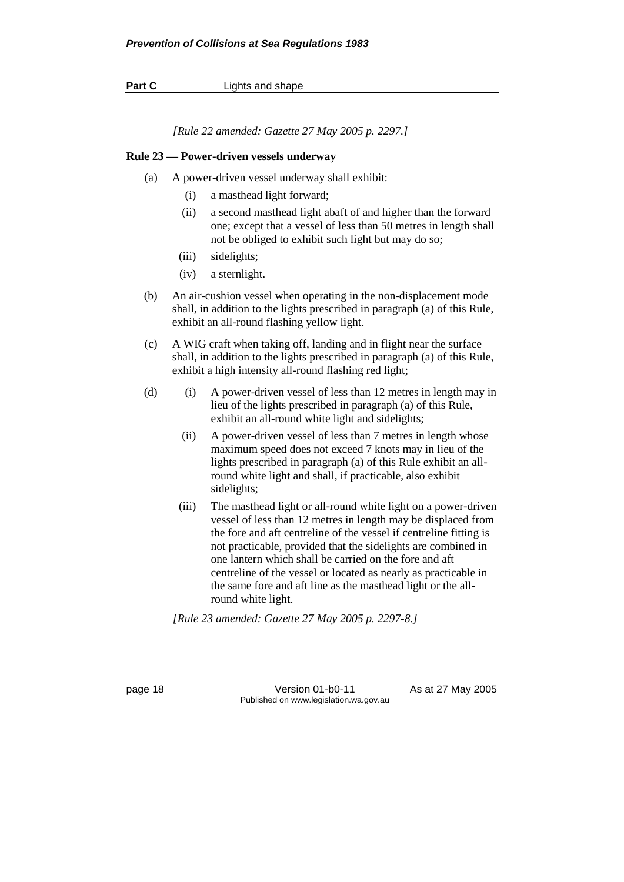**Part C** Lights and shape

*[Rule 22 amended: Gazette 27 May 2005 p. 2297.]* 

#### **Rule 23 — Power-driven vessels underway**

- (a) A power-driven vessel underway shall exhibit:
	- (i) a masthead light forward;
	- (ii) a second masthead light abaft of and higher than the forward one; except that a vessel of less than 50 metres in length shall not be obliged to exhibit such light but may do so;
	- (iii) sidelights;
	- (iv) a sternlight.
- (b) An air-cushion vessel when operating in the non-displacement mode shall, in addition to the lights prescribed in paragraph (a) of this Rule, exhibit an all-round flashing yellow light.
- (c) A WIG craft when taking off, landing and in flight near the surface shall, in addition to the lights prescribed in paragraph (a) of this Rule, exhibit a high intensity all-round flashing red light;
- (d) (i) A power-driven vessel of less than 12 metres in length may in lieu of the lights prescribed in paragraph (a) of this Rule, exhibit an all-round white light and sidelights;
	- (ii) A power-driven vessel of less than 7 metres in length whose maximum speed does not exceed 7 knots may in lieu of the lights prescribed in paragraph (a) of this Rule exhibit an allround white light and shall, if practicable, also exhibit sidelights;
	- (iii) The masthead light or all-round white light on a power-driven vessel of less than 12 metres in length may be displaced from the fore and aft centreline of the vessel if centreline fitting is not practicable, provided that the sidelights are combined in one lantern which shall be carried on the fore and aft centreline of the vessel or located as nearly as practicable in the same fore and aft line as the masthead light or the allround white light.

*[Rule 23 amended: Gazette 27 May 2005 p. 2297-8.]* 

page 18 Version 01-b0-11 As at 27 May 2005 Published on www.legislation.wa.gov.au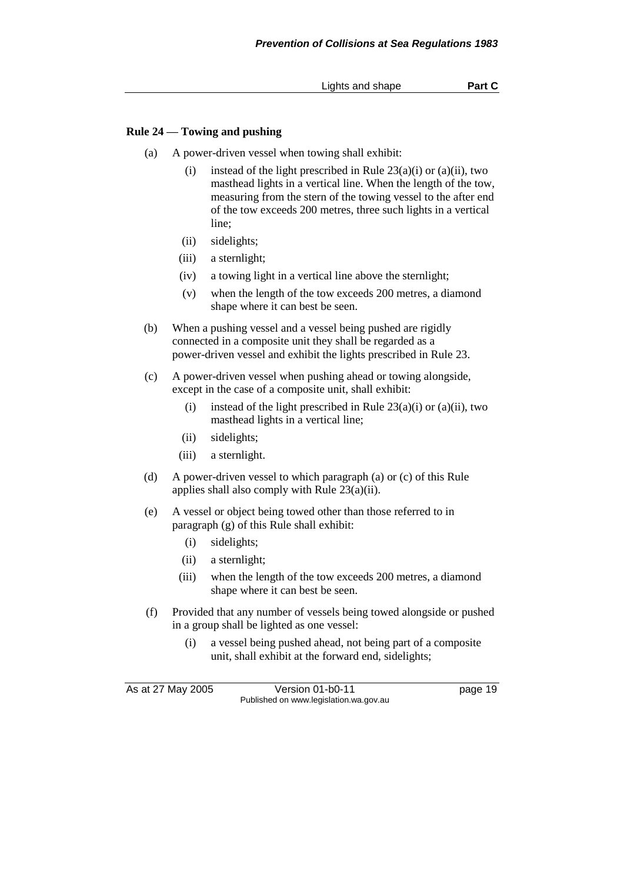#### **Rule 24 — Towing and pushing**

- (a) A power-driven vessel when towing shall exhibit:
	- (i) instead of the light prescribed in Rule  $23(a)(i)$  or  $(a)(ii)$ , two masthead lights in a vertical line. When the length of the tow, measuring from the stern of the towing vessel to the after end of the tow exceeds 200 metres, three such lights in a vertical line;
	- (ii) sidelights;
	- (iii) a sternlight;
	- (iv) a towing light in a vertical line above the sternlight;
	- (v) when the length of the tow exceeds 200 metres, a diamond shape where it can best be seen.
- (b) When a pushing vessel and a vessel being pushed are rigidly connected in a composite unit they shall be regarded as a power-driven vessel and exhibit the lights prescribed in Rule 23.
- (c) A power-driven vessel when pushing ahead or towing alongside, except in the case of a composite unit, shall exhibit:
	- (i) instead of the light prescribed in Rule  $23(a)(i)$  or  $(a)(ii)$ , two masthead lights in a vertical line;
	- (ii) sidelights;
	- (iii) a sternlight.
- (d) A power-driven vessel to which paragraph (a) or (c) of this Rule applies shall also comply with Rule 23(a)(ii).
- (e) A vessel or object being towed other than those referred to in paragraph (g) of this Rule shall exhibit:
	- (i) sidelights;
	- (ii) a sternlight;
	- (iii) when the length of the tow exceeds 200 metres, a diamond shape where it can best be seen.
- (f) Provided that any number of vessels being towed alongside or pushed in a group shall be lighted as one vessel:
	- (i) a vessel being pushed ahead, not being part of a composite unit, shall exhibit at the forward end, sidelights;

As at 27 May 2005 Version 01-b0-11 page 19 Published on www.legislation.wa.gov.au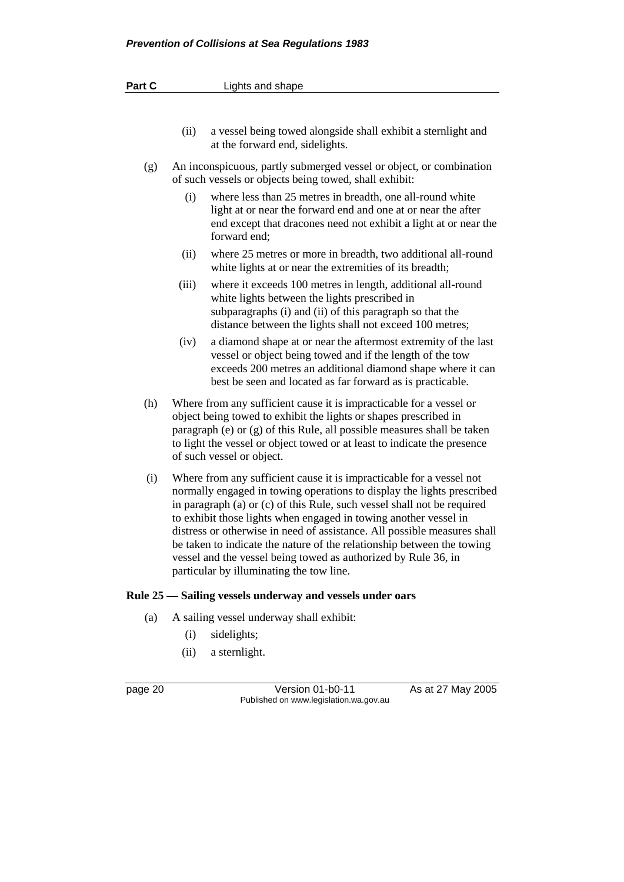| Part C |                                                                                                                                                                                                                                                                                                                                                                                                                                                                                                                                                                   | Lights and shape                                                                                                                                                                                                                                         |  |
|--------|-------------------------------------------------------------------------------------------------------------------------------------------------------------------------------------------------------------------------------------------------------------------------------------------------------------------------------------------------------------------------------------------------------------------------------------------------------------------------------------------------------------------------------------------------------------------|----------------------------------------------------------------------------------------------------------------------------------------------------------------------------------------------------------------------------------------------------------|--|
|        |                                                                                                                                                                                                                                                                                                                                                                                                                                                                                                                                                                   |                                                                                                                                                                                                                                                          |  |
|        | (ii)                                                                                                                                                                                                                                                                                                                                                                                                                                                                                                                                                              | a vessel being towed alongside shall exhibit a sternlight and<br>at the forward end, sidelights.                                                                                                                                                         |  |
| (g)    | An inconspicuous, partly submerged vessel or object, or combination<br>of such vessels or objects being towed, shall exhibit:                                                                                                                                                                                                                                                                                                                                                                                                                                     |                                                                                                                                                                                                                                                          |  |
|        | (i)                                                                                                                                                                                                                                                                                                                                                                                                                                                                                                                                                               | where less than 25 metres in breadth, one all-round white<br>light at or near the forward end and one at or near the after<br>end except that dracones need not exhibit a light at or near the<br>forward end;                                           |  |
|        | (ii)                                                                                                                                                                                                                                                                                                                                                                                                                                                                                                                                                              | where 25 metres or more in breadth, two additional all-round<br>white lights at or near the extremities of its breadth;                                                                                                                                  |  |
|        | (iii)                                                                                                                                                                                                                                                                                                                                                                                                                                                                                                                                                             | where it exceeds 100 metres in length, additional all-round<br>white lights between the lights prescribed in<br>subparagraphs (i) and (ii) of this paragraph so that the<br>distance between the lights shall not exceed 100 metres;                     |  |
|        | (iv)                                                                                                                                                                                                                                                                                                                                                                                                                                                                                                                                                              | a diamond shape at or near the aftermost extremity of the last<br>vessel or object being towed and if the length of the tow<br>exceeds 200 metres an additional diamond shape where it can<br>best be seen and located as far forward as is practicable. |  |
| (h)    | Where from any sufficient cause it is impracticable for a vessel or<br>object being towed to exhibit the lights or shapes prescribed in<br>paragraph (e) or (g) of this Rule, all possible measures shall be taken<br>to light the vessel or object towed or at least to indicate the presence<br>of such vessel or object.                                                                                                                                                                                                                                       |                                                                                                                                                                                                                                                          |  |
| (i)    | Where from any sufficient cause it is impracticable for a vessel not<br>normally engaged in towing operations to display the lights prescribed<br>in paragraph (a) or (c) of this Rule, such vessel shall not be required<br>to exhibit those lights when engaged in towing another vessel in<br>distress or otherwise in need of assistance. All possible measures shall<br>be taken to indicate the nature of the relationship between the towing<br>vessel and the vessel being towed as authorized by Rule 36, in<br>particular by illuminating the tow line. |                                                                                                                                                                                                                                                          |  |
|        |                                                                                                                                                                                                                                                                                                                                                                                                                                                                                                                                                                   | Rule 25 – Sailing vessels underway and vessels under oars                                                                                                                                                                                                |  |
| (a)    |                                                                                                                                                                                                                                                                                                                                                                                                                                                                                                                                                                   | A sailing vessel underway shall exhibit:                                                                                                                                                                                                                 |  |
|        | (i)                                                                                                                                                                                                                                                                                                                                                                                                                                                                                                                                                               | sidelights;                                                                                                                                                                                                                                              |  |
|        | (ii)                                                                                                                                                                                                                                                                                                                                                                                                                                                                                                                                                              | a sternlight.                                                                                                                                                                                                                                            |  |

page 20 Version 01-b0-11 As at 27 May 2005 Published on www.legislation.wa.gov.au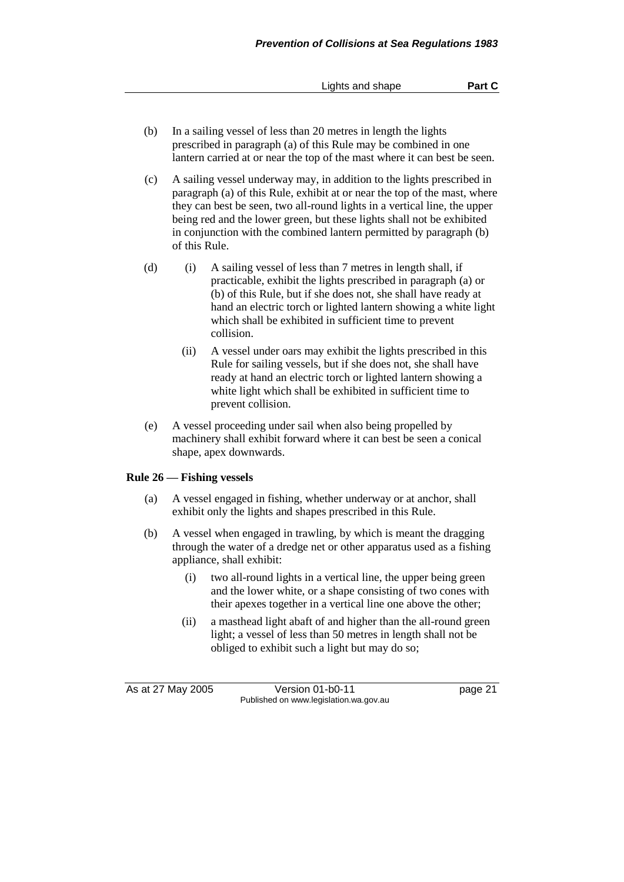- (b) In a sailing vessel of less than 20 metres in length the lights prescribed in paragraph (a) of this Rule may be combined in one lantern carried at or near the top of the mast where it can best be seen.
- (c) A sailing vessel underway may, in addition to the lights prescribed in paragraph (a) of this Rule, exhibit at or near the top of the mast, where they can best be seen, two all-round lights in a vertical line, the upper being red and the lower green, but these lights shall not be exhibited in conjunction with the combined lantern permitted by paragraph (b) of this Rule.
- (d) (i) A sailing vessel of less than 7 metres in length shall, if practicable, exhibit the lights prescribed in paragraph (a) or (b) of this Rule, but if she does not, she shall have ready at hand an electric torch or lighted lantern showing a white light which shall be exhibited in sufficient time to prevent collision.
	- (ii) A vessel under oars may exhibit the lights prescribed in this Rule for sailing vessels, but if she does not, she shall have ready at hand an electric torch or lighted lantern showing a white light which shall be exhibited in sufficient time to prevent collision.
- (e) A vessel proceeding under sail when also being propelled by machinery shall exhibit forward where it can best be seen a conical shape, apex downwards.

#### **Rule 26 — Fishing vessels**

- (a) A vessel engaged in fishing, whether underway or at anchor, shall exhibit only the lights and shapes prescribed in this Rule.
- (b) A vessel when engaged in trawling, by which is meant the dragging through the water of a dredge net or other apparatus used as a fishing appliance, shall exhibit:
	- (i) two all-round lights in a vertical line, the upper being green and the lower white, or a shape consisting of two cones with their apexes together in a vertical line one above the other;
	- (ii) a masthead light abaft of and higher than the all-round green light; a vessel of less than 50 metres in length shall not be obliged to exhibit such a light but may do so;

As at 27 May 2005 Version 01-b0-11 page 21 Published on www.legislation.wa.gov.au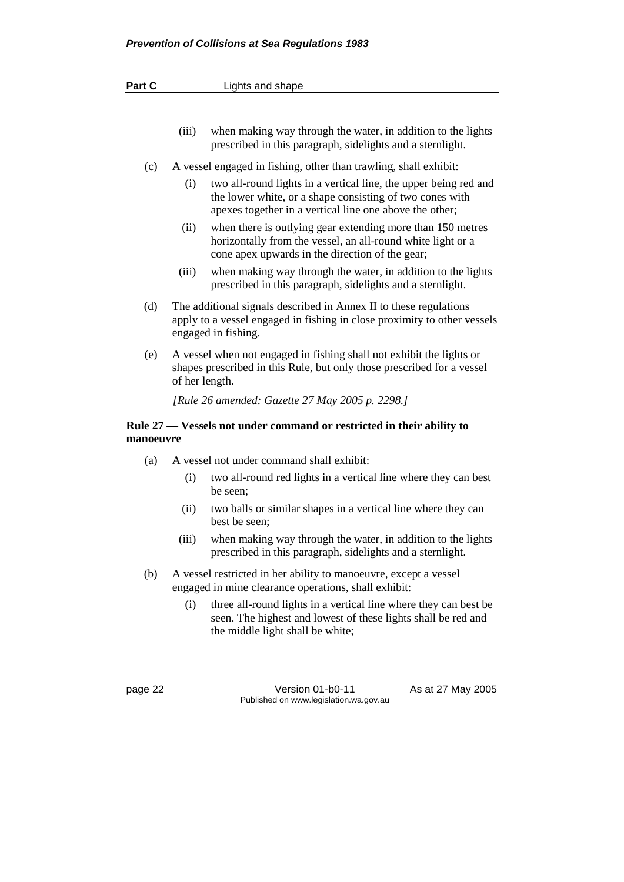| Part C    |                                                                                                                                                                  | Lights and shape                                                                                                                                                                        |  |
|-----------|------------------------------------------------------------------------------------------------------------------------------------------------------------------|-----------------------------------------------------------------------------------------------------------------------------------------------------------------------------------------|--|
|           |                                                                                                                                                                  |                                                                                                                                                                                         |  |
|           | (iii)                                                                                                                                                            | when making way through the water, in addition to the lights<br>prescribed in this paragraph, sidelights and a sternlight.                                                              |  |
| (c)       |                                                                                                                                                                  | A vessel engaged in fishing, other than trawling, shall exhibit:                                                                                                                        |  |
|           | (i)                                                                                                                                                              | two all-round lights in a vertical line, the upper being red and<br>the lower white, or a shape consisting of two cones with<br>apexes together in a vertical line one above the other; |  |
|           | (ii)                                                                                                                                                             | when there is outlying gear extending more than 150 metres<br>horizontally from the vessel, an all-round white light or a<br>cone apex upwards in the direction of the gear;            |  |
|           | (iii)                                                                                                                                                            | when making way through the water, in addition to the lights<br>prescribed in this paragraph, sidelights and a sternlight.                                                              |  |
| (d)       |                                                                                                                                                                  | The additional signals described in Annex II to these regulations<br>apply to a vessel engaged in fishing in close proximity to other vessels<br>engaged in fishing.                    |  |
| (e)       | A vessel when not engaged in fishing shall not exhibit the lights or<br>shapes prescribed in this Rule, but only those prescribed for a vessel<br>of her length. |                                                                                                                                                                                         |  |
|           | [Rule 26 amended: Gazette 27 May 2005 p. 2298.]                                                                                                                  |                                                                                                                                                                                         |  |
| manoeuvre |                                                                                                                                                                  | Rule 27 — Vessels not under command or restricted in their ability to                                                                                                                   |  |
| (a)       |                                                                                                                                                                  | A vessel not under command shall exhibit:                                                                                                                                               |  |
|           | (i)                                                                                                                                                              | two all-round red lights in a vertical line where they can best<br>be seen;                                                                                                             |  |
|           | (ii)                                                                                                                                                             | two balls or similar shapes in a vertical line where they can<br>best be seen;                                                                                                          |  |
|           | (iii)                                                                                                                                                            | when making way through the water, in addition to the lights<br>prescribed in this paragraph, sidelights and a sternlight.                                                              |  |
| (b)       | A vessel restricted in her ability to manoeuvre, except a vessel<br>engaged in mine clearance operations, shall exhibit:                                         |                                                                                                                                                                                         |  |
|           | (i)                                                                                                                                                              | three all-round lights in a vertical line where they can best be<br>seen. The highest and lowest of these lights shall be red and<br>the middle light shall be white;                   |  |
|           |                                                                                                                                                                  |                                                                                                                                                                                         |  |
| page 22   |                                                                                                                                                                  | Version 01-b0-11<br>As at 27 May 2005<br>Published on www.legislation.wa.gov.au                                                                                                         |  |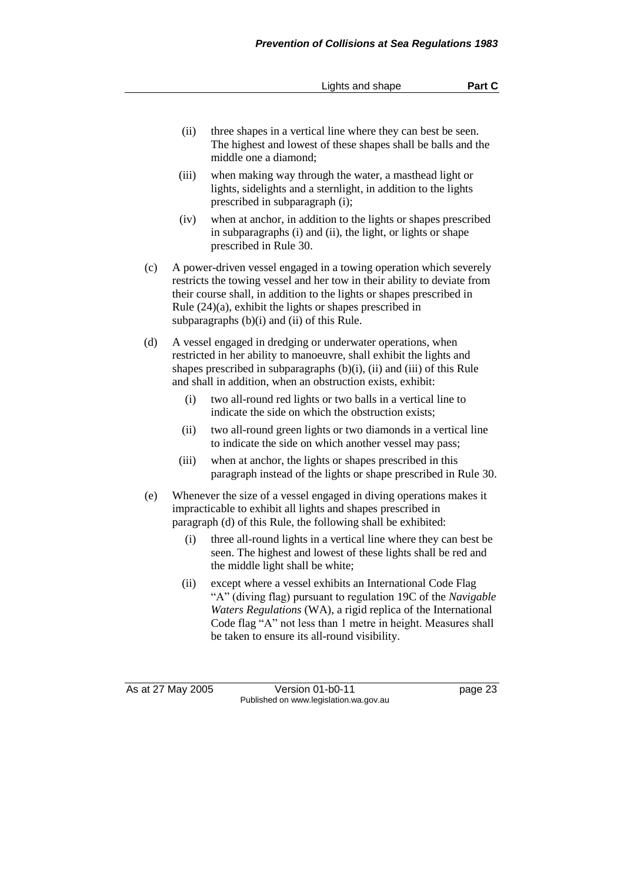- (ii) three shapes in a vertical line where they can best be seen. The highest and lowest of these shapes shall be balls and the middle one a diamond;
- (iii) when making way through the water, a masthead light or lights, sidelights and a sternlight, in addition to the lights prescribed in subparagraph (i);
- (iv) when at anchor, in addition to the lights or shapes prescribed in subparagraphs (i) and (ii), the light, or lights or shape prescribed in Rule 30.
- (c) A power-driven vessel engaged in a towing operation which severely restricts the towing vessel and her tow in their ability to deviate from their course shall, in addition to the lights or shapes prescribed in Rule (24)(a), exhibit the lights or shapes prescribed in subparagraphs (b)(i) and (ii) of this Rule.
- (d) A vessel engaged in dredging or underwater operations, when restricted in her ability to manoeuvre, shall exhibit the lights and shapes prescribed in subparagraphs (b)(i), (ii) and (iii) of this Rule and shall in addition, when an obstruction exists, exhibit:
	- (i) two all-round red lights or two balls in a vertical line to indicate the side on which the obstruction exists;
	- (ii) two all-round green lights or two diamonds in a vertical line to indicate the side on which another vessel may pass;
	- (iii) when at anchor, the lights or shapes prescribed in this paragraph instead of the lights or shape prescribed in Rule 30.
- (e) Whenever the size of a vessel engaged in diving operations makes it impracticable to exhibit all lights and shapes prescribed in paragraph (d) of this Rule, the following shall be exhibited:
	- (i) three all-round lights in a vertical line where they can best be seen. The highest and lowest of these lights shall be red and the middle light shall be white;
	- (ii) except where a vessel exhibits an International Code Flag "A" (diving flag) pursuant to regulation 19C of the *Navigable Waters Regulations* (WA), a rigid replica of the International Code flag "A" not less than 1 metre in height. Measures shall be taken to ensure its all-round visibility.

As at 27 May 2005 Version 01-b0-11 page 23 Published on www.legislation.wa.gov.au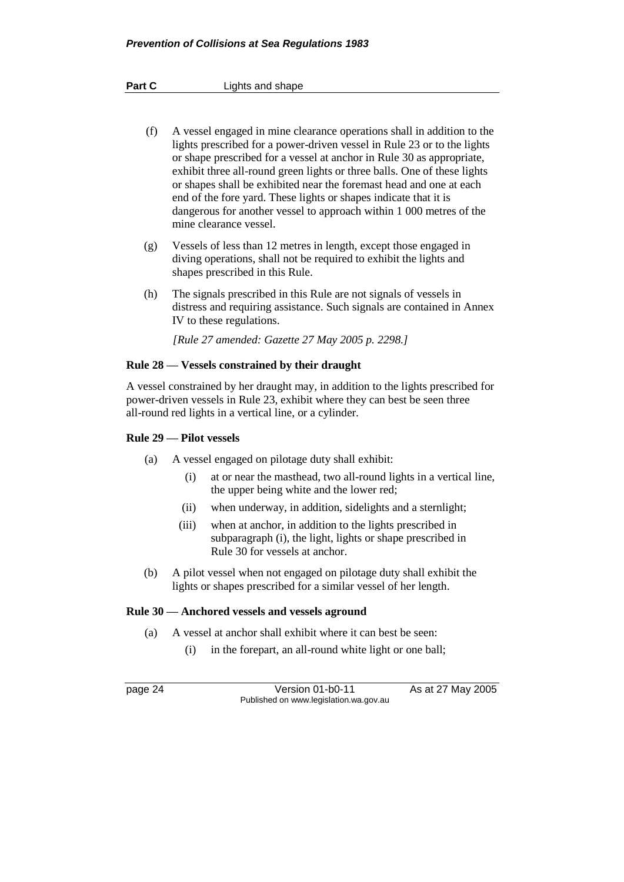**Part C** Lights and shape

- (f) A vessel engaged in mine clearance operations shall in addition to the lights prescribed for a power-driven vessel in Rule 23 or to the lights or shape prescribed for a vessel at anchor in Rule 30 as appropriate, exhibit three all-round green lights or three balls. One of these lights or shapes shall be exhibited near the foremast head and one at each end of the fore yard. These lights or shapes indicate that it is dangerous for another vessel to approach within 1 000 metres of the mine clearance vessel.
- (g) Vessels of less than 12 metres in length, except those engaged in diving operations, shall not be required to exhibit the lights and shapes prescribed in this Rule.
- (h) The signals prescribed in this Rule are not signals of vessels in distress and requiring assistance. Such signals are contained in Annex IV to these regulations.

*[Rule 27 amended: Gazette 27 May 2005 p. 2298.]* 

#### **Rule 28 — Vessels constrained by their draught**

A vessel constrained by her draught may, in addition to the lights prescribed for power-driven vessels in Rule 23, exhibit where they can best be seen three all-round red lights in a vertical line, or a cylinder.

#### **Rule 29 — Pilot vessels**

- (a) A vessel engaged on pilotage duty shall exhibit:
	- (i) at or near the masthead, two all-round lights in a vertical line, the upper being white and the lower red;
	- (ii) when underway, in addition, sidelights and a sternlight;
	- (iii) when at anchor, in addition to the lights prescribed in subparagraph (i), the light, lights or shape prescribed in Rule 30 for vessels at anchor.
- (b) A pilot vessel when not engaged on pilotage duty shall exhibit the lights or shapes prescribed for a similar vessel of her length.

#### **Rule 30 — Anchored vessels and vessels aground**

- (a) A vessel at anchor shall exhibit where it can best be seen:
	- (i) in the forepart, an all-round white light or one ball;

page 24 Version 01-b0-11 As at 27 May 2005 Published on www.legislation.wa.gov.au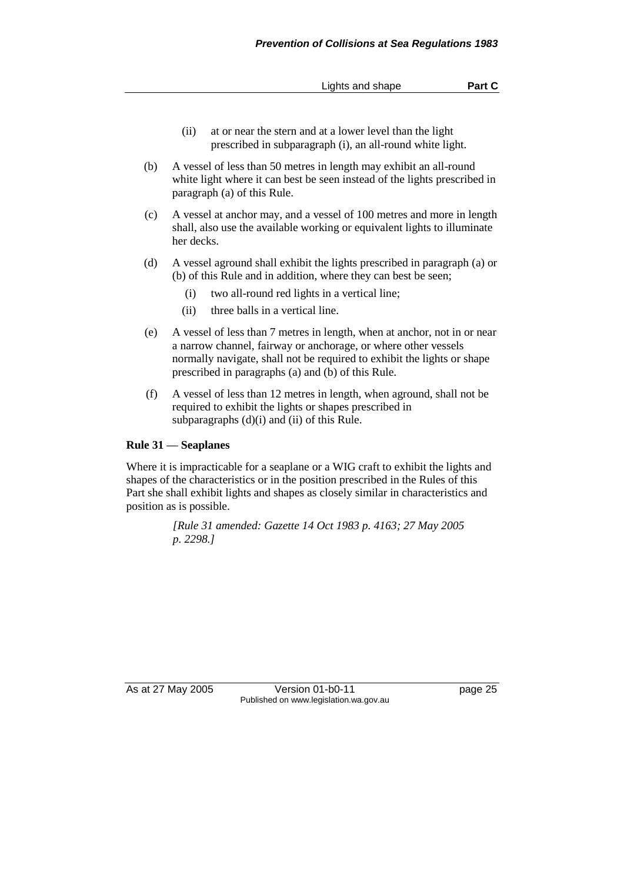- (ii) at or near the stern and at a lower level than the light prescribed in subparagraph (i), an all-round white light.
- (b) A vessel of less than 50 metres in length may exhibit an all-round white light where it can best be seen instead of the lights prescribed in paragraph (a) of this Rule.
- (c) A vessel at anchor may, and a vessel of 100 metres and more in length shall, also use the available working or equivalent lights to illuminate her decks.
- (d) A vessel aground shall exhibit the lights prescribed in paragraph (a) or (b) of this Rule and in addition, where they can best be seen;
	- (i) two all-round red lights in a vertical line;
	- (ii) three balls in a vertical line.
- (e) A vessel of less than 7 metres in length, when at anchor, not in or near a narrow channel, fairway or anchorage, or where other vessels normally navigate, shall not be required to exhibit the lights or shape prescribed in paragraphs (a) and (b) of this Rule.
- (f) A vessel of less than 12 metres in length, when aground, shall not be required to exhibit the lights or shapes prescribed in subparagraphs  $(d)(i)$  and  $(ii)$  of this Rule.

#### **Rule 31 — Seaplanes**

Where it is impracticable for a seaplane or a WIG craft to exhibit the lights and shapes of the characteristics or in the position prescribed in the Rules of this Part she shall exhibit lights and shapes as closely similar in characteristics and position as is possible.

> *[Rule 31 amended: Gazette 14 Oct 1983 p. 4163; 27 May 2005 p. 2298.]*

As at 27 May 2005 Version 01-b0-11 page 25 Published on www.legislation.wa.gov.au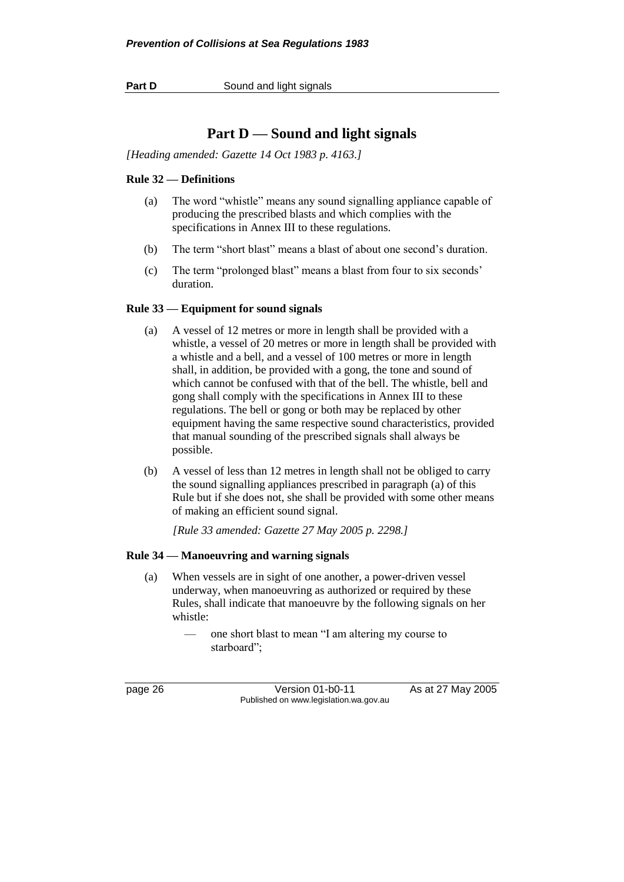**Part D** Sound and light signals

## **Part D — Sound and light signals**

*[Heading amended: Gazette 14 Oct 1983 p. 4163.]*

#### **Rule 32 — Definitions**

- (a) The word "whistle" means any sound signalling appliance capable of producing the prescribed blasts and which complies with the specifications in Annex III to these regulations.
- (b) The term "short blast" means a blast of about one second's duration.
- (c) The term "prolonged blast" means a blast from four to six seconds' duration.

#### **Rule 33 — Equipment for sound signals**

- (a) A vessel of 12 metres or more in length shall be provided with a whistle, a vessel of 20 metres or more in length shall be provided with a whistle and a bell, and a vessel of 100 metres or more in length shall, in addition, be provided with a gong, the tone and sound of which cannot be confused with that of the bell. The whistle, bell and gong shall comply with the specifications in Annex III to these regulations. The bell or gong or both may be replaced by other equipment having the same respective sound characteristics, provided that manual sounding of the prescribed signals shall always be possible.
- (b) A vessel of less than 12 metres in length shall not be obliged to carry the sound signalling appliances prescribed in paragraph (a) of this Rule but if she does not, she shall be provided with some other means of making an efficient sound signal.

*[Rule 33 amended: Gazette 27 May 2005 p. 2298.]* 

#### **Rule 34 — Manoeuvring and warning signals**

- (a) When vessels are in sight of one another, a power-driven vessel underway, when manoeuvring as authorized or required by these Rules, shall indicate that manoeuvre by the following signals on her whistle:
	- one short blast to mean "I am altering my course to starboard";

page 26 Version 01-b0-11 As at 27 May 2005 Published on www.legislation.wa.gov.au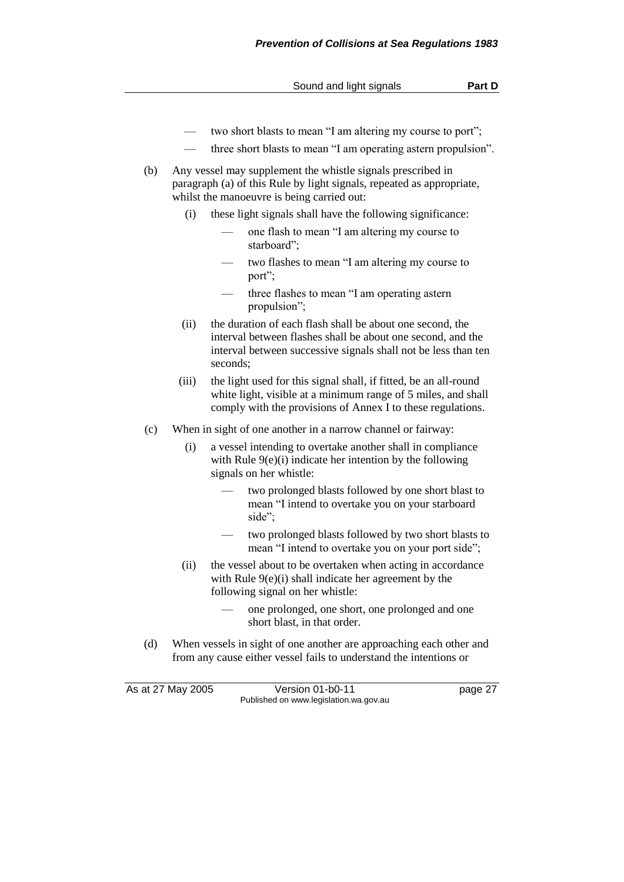- two short blasts to mean "I am altering my course to port";
- three short blasts to mean "I am operating astern propulsion".
- (b) Any vessel may supplement the whistle signals prescribed in paragraph (a) of this Rule by light signals, repeated as appropriate, whilst the manoeuvre is being carried out:
	- (i) these light signals shall have the following significance:
		- one flash to mean "I am altering my course to starboard";
		- two flashes to mean "I am altering my course to port";
		- three flashes to mean "I am operating astern propulsion";
	- (ii) the duration of each flash shall be about one second, the interval between flashes shall be about one second, and the interval between successive signals shall not be less than ten seconds;
	- (iii) the light used for this signal shall, if fitted, be an all-round white light, visible at a minimum range of 5 miles, and shall comply with the provisions of Annex I to these regulations.
- (c) When in sight of one another in a narrow channel or fairway:
	- (i) a vessel intending to overtake another shall in compliance with Rule  $9(e)(i)$  indicate her intention by the following signals on her whistle:
		- two prolonged blasts followed by one short blast to mean "I intend to overtake you on your starboard side":
		- two prolonged blasts followed by two short blasts to mean "I intend to overtake you on your port side";
	- (ii) the vessel about to be overtaken when acting in accordance with Rule 9(e)(i) shall indicate her agreement by the following signal on her whistle:
		- one prolonged, one short, one prolonged and one short blast, in that order.
- (d) When vessels in sight of one another are approaching each other and from any cause either vessel fails to understand the intentions or

As at 27 May 2005 Version 01-b0-11 page 27 Published on www.legislation.wa.gov.au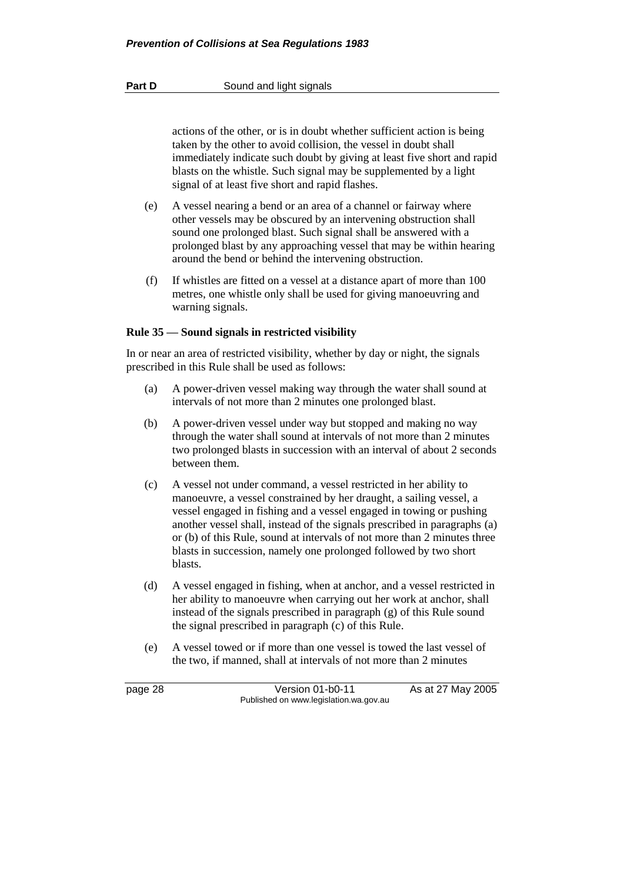#### **Part D** Sound and light signals

actions of the other, or is in doubt whether sufficient action is being taken by the other to avoid collision, the vessel in doubt shall immediately indicate such doubt by giving at least five short and rapid blasts on the whistle. Such signal may be supplemented by a light signal of at least five short and rapid flashes.

- (e) A vessel nearing a bend or an area of a channel or fairway where other vessels may be obscured by an intervening obstruction shall sound one prolonged blast. Such signal shall be answered with a prolonged blast by any approaching vessel that may be within hearing around the bend or behind the intervening obstruction.
- (f) If whistles are fitted on a vessel at a distance apart of more than 100 metres, one whistle only shall be used for giving manoeuvring and warning signals.

#### **Rule 35 — Sound signals in restricted visibility**

In or near an area of restricted visibility, whether by day or night, the signals prescribed in this Rule shall be used as follows:

- (a) A power-driven vessel making way through the water shall sound at intervals of not more than 2 minutes one prolonged blast.
- (b) A power-driven vessel under way but stopped and making no way through the water shall sound at intervals of not more than 2 minutes two prolonged blasts in succession with an interval of about 2 seconds between them.
- (c) A vessel not under command, a vessel restricted in her ability to manoeuvre, a vessel constrained by her draught, a sailing vessel, a vessel engaged in fishing and a vessel engaged in towing or pushing another vessel shall, instead of the signals prescribed in paragraphs (a) or (b) of this Rule, sound at intervals of not more than 2 minutes three blasts in succession, namely one prolonged followed by two short blasts.
- (d) A vessel engaged in fishing, when at anchor, and a vessel restricted in her ability to manoeuvre when carrying out her work at anchor, shall instead of the signals prescribed in paragraph (g) of this Rule sound the signal prescribed in paragraph (c) of this Rule.
- (e) A vessel towed or if more than one vessel is towed the last vessel of the two, if manned, shall at intervals of not more than 2 minutes

page 28 Version 01-b0-11 As at 27 May 2005 Published on www.legislation.wa.gov.au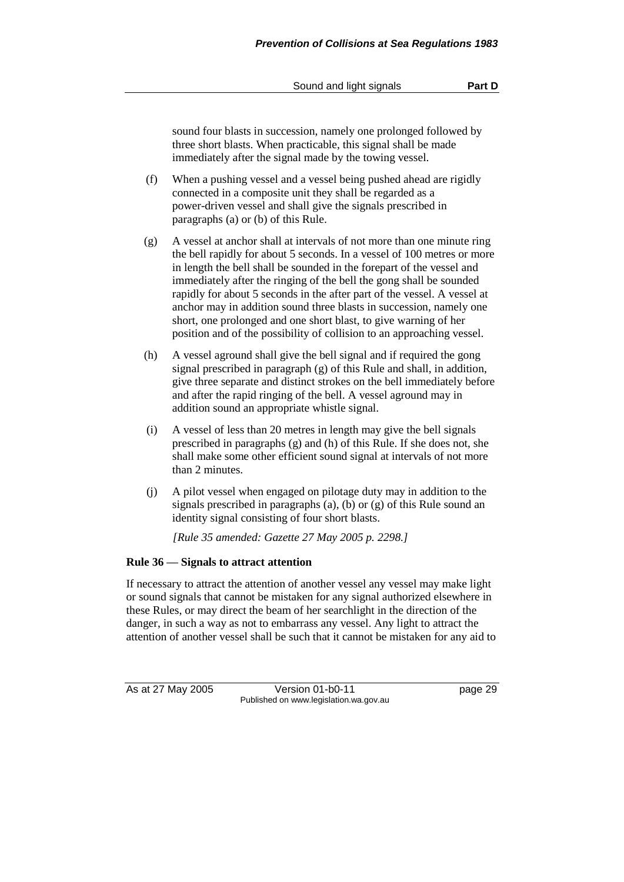sound four blasts in succession, namely one prolonged followed by three short blasts. When practicable, this signal shall be made immediately after the signal made by the towing vessel.

- (f) When a pushing vessel and a vessel being pushed ahead are rigidly connected in a composite unit they shall be regarded as a power-driven vessel and shall give the signals prescribed in paragraphs (a) or (b) of this Rule.
- (g) A vessel at anchor shall at intervals of not more than one minute ring the bell rapidly for about 5 seconds. In a vessel of 100 metres or more in length the bell shall be sounded in the forepart of the vessel and immediately after the ringing of the bell the gong shall be sounded rapidly for about 5 seconds in the after part of the vessel. A vessel at anchor may in addition sound three blasts in succession, namely one short, one prolonged and one short blast, to give warning of her position and of the possibility of collision to an approaching vessel.
- (h) A vessel aground shall give the bell signal and if required the gong signal prescribed in paragraph (g) of this Rule and shall, in addition, give three separate and distinct strokes on the bell immediately before and after the rapid ringing of the bell. A vessel aground may in addition sound an appropriate whistle signal.
- (i) A vessel of less than 20 metres in length may give the bell signals prescribed in paragraphs (g) and (h) of this Rule. If she does not, she shall make some other efficient sound signal at intervals of not more than 2 minutes.
- (j) A pilot vessel when engaged on pilotage duty may in addition to the signals prescribed in paragraphs (a), (b) or (g) of this Rule sound an identity signal consisting of four short blasts.

*[Rule 35 amended: Gazette 27 May 2005 p. 2298.]* 

#### **Rule 36 — Signals to attract attention**

If necessary to attract the attention of another vessel any vessel may make light or sound signals that cannot be mistaken for any signal authorized elsewhere in these Rules, or may direct the beam of her searchlight in the direction of the danger, in such a way as not to embarrass any vessel. Any light to attract the attention of another vessel shall be such that it cannot be mistaken for any aid to

As at 27 May 2005 Version 01-b0-11 page 29 Published on www.legislation.wa.gov.au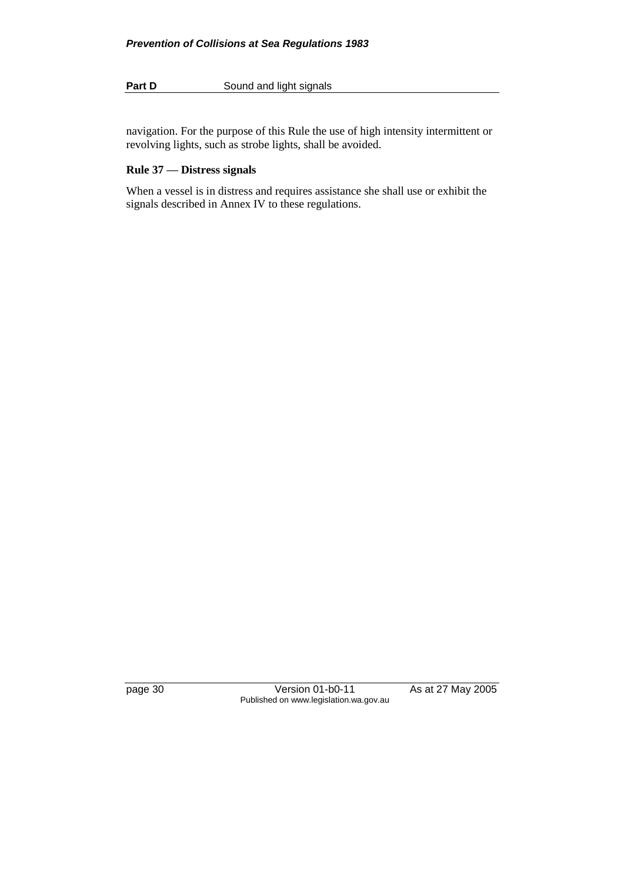**Part D** Sound and light signals

navigation. For the purpose of this Rule the use of high intensity intermittent or revolving lights, such as strobe lights, shall be avoided.

## **Rule 37 — Distress signals**

When a vessel is in distress and requires assistance she shall use or exhibit the signals described in Annex IV to these regulations.

page 30 Version 01-b0-11 As at 27 May 2005 Published on www.legislation.wa.gov.au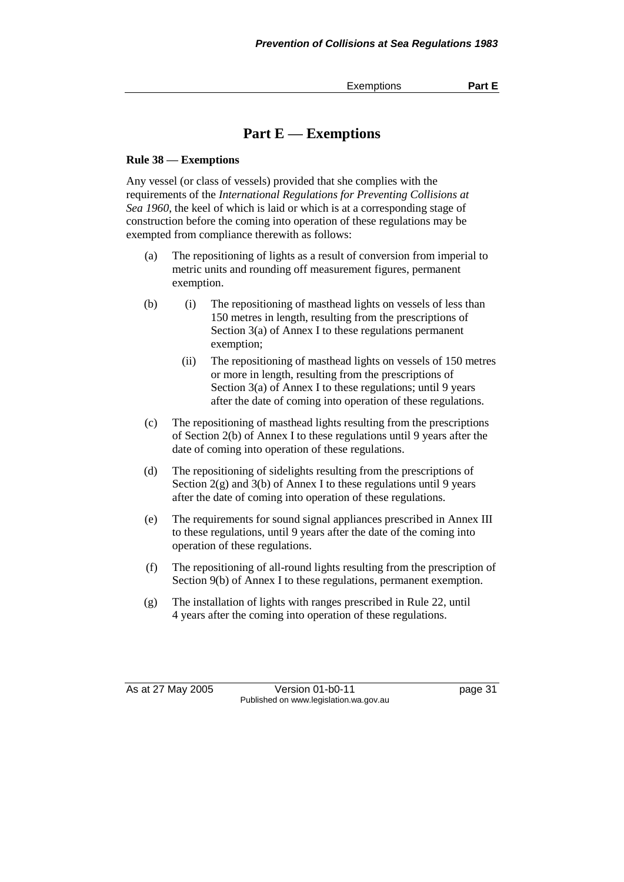Exemptions **Part E**

## **Part E — Exemptions**

#### **Rule 38 — Exemptions**

Any vessel (or class of vessels) provided that she complies with the requirements of the *International Regulations for Preventing Collisions at Sea 1960*, the keel of which is laid or which is at a corresponding stage of construction before the coming into operation of these regulations may be exempted from compliance therewith as follows:

- (a) The repositioning of lights as a result of conversion from imperial to metric units and rounding off measurement figures, permanent exemption.
- (b) (i) The repositioning of masthead lights on vessels of less than 150 metres in length, resulting from the prescriptions of Section 3(a) of Annex I to these regulations permanent exemption;
	- (ii) The repositioning of masthead lights on vessels of 150 metres or more in length, resulting from the prescriptions of Section 3(a) of Annex I to these regulations; until 9 years after the date of coming into operation of these regulations.
- (c) The repositioning of masthead lights resulting from the prescriptions of Section 2(b) of Annex I to these regulations until 9 years after the date of coming into operation of these regulations.
- (d) The repositioning of sidelights resulting from the prescriptions of Section  $2(g)$  and  $3(b)$  of Annex I to these regulations until 9 years after the date of coming into operation of these regulations.
- (e) The requirements for sound signal appliances prescribed in Annex III to these regulations, until 9 years after the date of the coming into operation of these regulations.
- (f) The repositioning of all-round lights resulting from the prescription of Section 9(b) of Annex I to these regulations, permanent exemption.
- (g) The installation of lights with ranges prescribed in Rule 22, until 4 years after the coming into operation of these regulations.

As at 27 May 2005 Version 01-b0-11 page 31 Published on www.legislation.wa.gov.au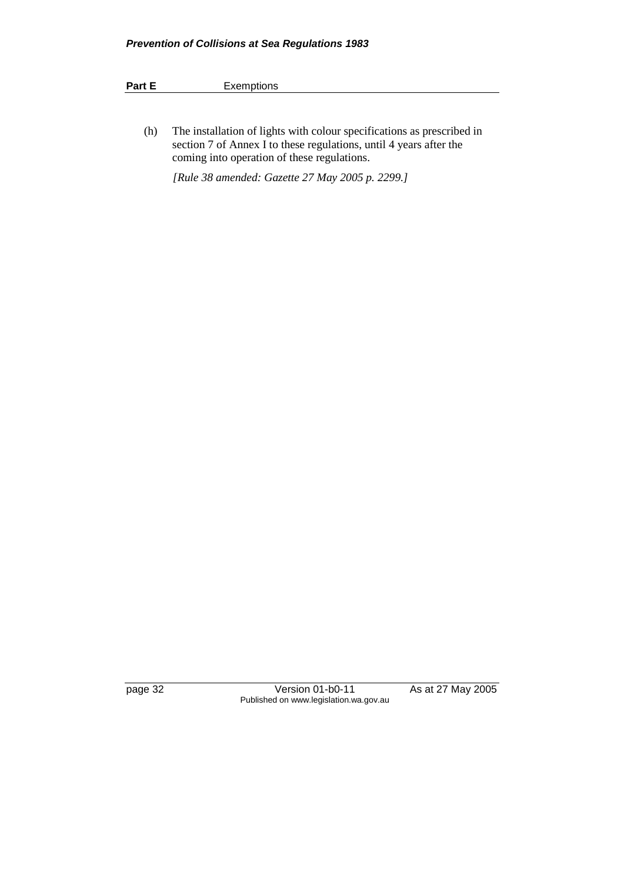| Part E | Exemptions |
|--------|------------|
|        |            |
|        |            |

(h) The installation of lights with colour specifications as prescribed in section 7 of Annex I to these regulations, until 4 years after the coming into operation of these regulations.

*[Rule 38 amended: Gazette 27 May 2005 p. 2299.]* 

page 32 Version 01-b0-11 As at 27 May 2005 Published on www.legislation.wa.gov.au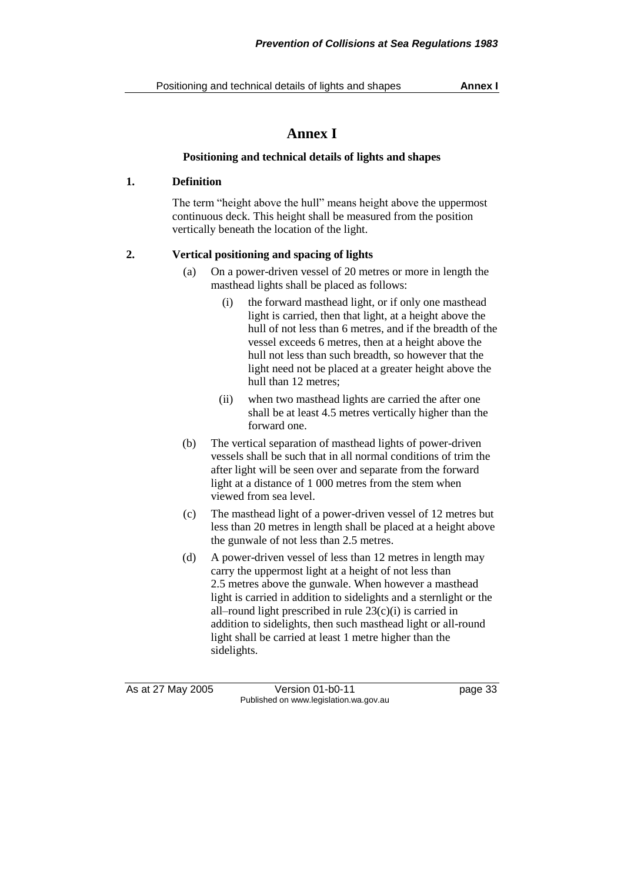## **Annex I**

#### **Positioning and technical details of lights and shapes**

### **1. Definition**

The term "height above the hull" means height above the uppermost continuous deck. This height shall be measured from the position vertically beneath the location of the light.

#### **2. Vertical positioning and spacing of lights**

- (a) On a power-driven vessel of 20 metres or more in length the masthead lights shall be placed as follows:
	- (i) the forward masthead light, or if only one masthead light is carried, then that light, at a height above the hull of not less than 6 metres, and if the breadth of the vessel exceeds 6 metres, then at a height above the hull not less than such breadth, so however that the light need not be placed at a greater height above the hull than 12 metres;
	- (ii) when two masthead lights are carried the after one shall be at least 4.5 metres vertically higher than the forward one.
- (b) The vertical separation of masthead lights of power-driven vessels shall be such that in all normal conditions of trim the after light will be seen over and separate from the forward light at a distance of 1 000 metres from the stem when viewed from sea level.
- (c) The masthead light of a power-driven vessel of 12 metres but less than 20 metres in length shall be placed at a height above the gunwale of not less than 2.5 metres.
- (d) A power-driven vessel of less than 12 metres in length may carry the uppermost light at a height of not less than 2.5 metres above the gunwale. When however a masthead light is carried in addition to sidelights and a sternlight or the all–round light prescribed in rule  $23(c)(i)$  is carried in addition to sidelights, then such masthead light or all-round light shall be carried at least 1 metre higher than the sidelights.

As at 27 May 2005 Version 01-b0-11 page 33 Published on www.legislation.wa.gov.au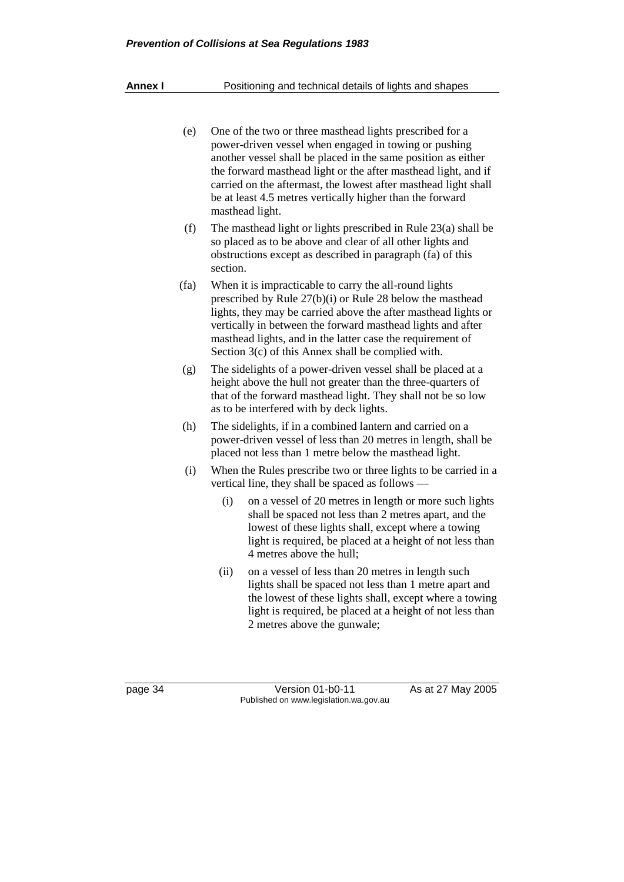| Annex I | Positioning and technical details of lights and shapes                                                                                                                                                                                                                                                                                                                                                  |  |
|---------|---------------------------------------------------------------------------------------------------------------------------------------------------------------------------------------------------------------------------------------------------------------------------------------------------------------------------------------------------------------------------------------------------------|--|
| (e)     | One of the two or three masthead lights prescribed for a<br>power-driven vessel when engaged in towing or pushing<br>another vessel shall be placed in the same position as either<br>the forward masthead light or the after masthead light, and if<br>carried on the aftermast, the lowest after masthead light shall<br>be at least 4.5 metres vertically higher than the forward<br>masthead light. |  |
| (f)     | The masthead light or lights prescribed in Rule $23(a)$ shall be<br>so placed as to be above and clear of all other lights and<br>obstructions except as described in paragraph (fa) of this<br>section.                                                                                                                                                                                                |  |
| (fa)    | When it is impracticable to carry the all-round lights<br>prescribed by Rule $27(b)(i)$ or Rule 28 below the masthead<br>lights, they may be carried above the after masthead lights or<br>vertically in between the forward masthead lights and after<br>masthead lights, and in the latter case the requirement of<br>Section $3(c)$ of this Annex shall be complied with.                            |  |
| (g)     | The sidelights of a power-driven vessel shall be placed at a<br>height above the hull not greater than the three-quarters of<br>that of the forward masthead light. They shall not be so low<br>as to be interfered with by deck lights.                                                                                                                                                                |  |
| (h)     | The sidelights, if in a combined lantern and carried on a<br>power-driven vessel of less than 20 metres in length, shall be<br>placed not less than 1 metre below the masthead light.                                                                                                                                                                                                                   |  |
| (i)     | When the Rules prescribe two or three lights to be carried in a<br>vertical line, they shall be spaced as follows —                                                                                                                                                                                                                                                                                     |  |
|         | (i)<br>on a vessel of 20 metres in length or more such lights<br>shall be spaced not less than 2 metres apart, and the<br>lowest of these lights shall, except where a towing<br>light is required, be placed at a height of not less than<br>4 metres above the hull;                                                                                                                                  |  |
|         | (ii)<br>on a vessel of less than 20 metres in length such<br>lights shall be spaced not less than 1 metre apart and<br>the lowest of these lights shall, except where a towing<br>light is required, be placed at a height of not less than<br>2 metres above the gunwale;                                                                                                                              |  |

page 34 Version 01-b0-11 As at 27 May 2005 Published on www.legislation.wa.gov.au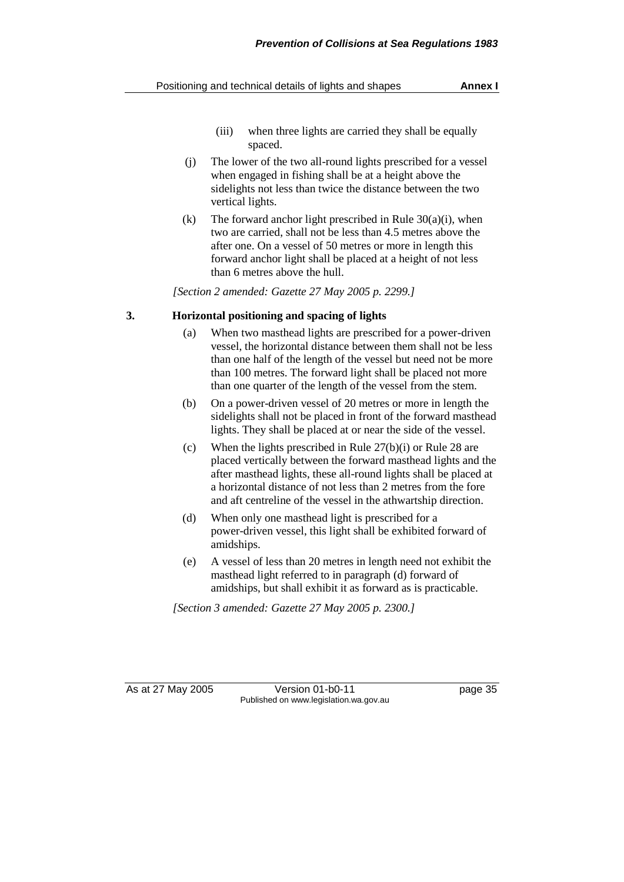- (iii) when three lights are carried they shall be equally spaced.
- (j) The lower of the two all-round lights prescribed for a vessel when engaged in fishing shall be at a height above the sidelights not less than twice the distance between the two vertical lights.
- (k) The forward anchor light prescribed in Rule  $30(a)(i)$ , when two are carried, shall not be less than 4.5 metres above the after one. On a vessel of 50 metres or more in length this forward anchor light shall be placed at a height of not less than 6 metres above the hull.

*[Section 2 amended: Gazette 27 May 2005 p. 2299.]*

#### **3. Horizontal positioning and spacing of lights**

- (a) When two masthead lights are prescribed for a power-driven vessel, the horizontal distance between them shall not be less than one half of the length of the vessel but need not be more than 100 metres. The forward light shall be placed not more than one quarter of the length of the vessel from the stem.
- (b) On a power-driven vessel of 20 metres or more in length the sidelights shall not be placed in front of the forward masthead lights. They shall be placed at or near the side of the vessel.
- (c) When the lights prescribed in Rule  $27(b)(i)$  or Rule 28 are placed vertically between the forward masthead lights and the after masthead lights, these all-round lights shall be placed at a horizontal distance of not less than 2 metres from the fore and aft centreline of the vessel in the athwartship direction.
- (d) When only one masthead light is prescribed for a power-driven vessel, this light shall be exhibited forward of amidships.
- (e) A vessel of less than 20 metres in length need not exhibit the masthead light referred to in paragraph (d) forward of amidships, but shall exhibit it as forward as is practicable.

*[Section 3 amended: Gazette 27 May 2005 p. 2300.]*

As at 27 May 2005 Version 01-b0-11 page 35 Published on www.legislation.wa.gov.au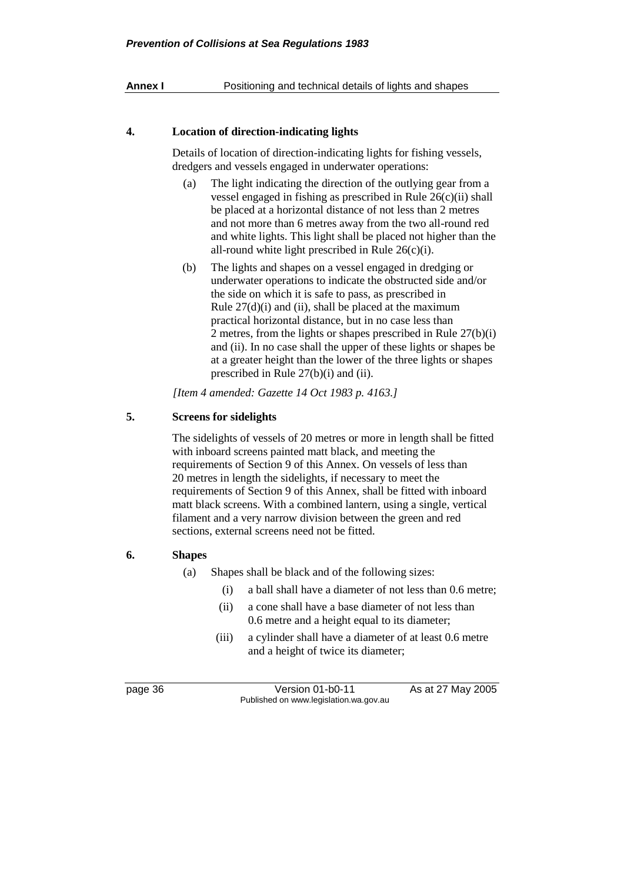| <b>Annex I</b> | Positioning and technical details of lights and shapes |  |
|----------------|--------------------------------------------------------|--|
|                |                                                        |  |

#### **4. Location of direction-indicating lights**

Details of location of direction-indicating lights for fishing vessels, dredgers and vessels engaged in underwater operations:

- (a) The light indicating the direction of the outlying gear from a vessel engaged in fishing as prescribed in Rule 26(c)(ii) shall be placed at a horizontal distance of not less than 2 metres and not more than 6 metres away from the two all-round red and white lights. This light shall be placed not higher than the all-round white light prescribed in Rule  $26(c)(i)$ .
- (b) The lights and shapes on a vessel engaged in dredging or underwater operations to indicate the obstructed side and/or the side on which it is safe to pass, as prescribed in Rule  $27(d)(i)$  and (ii), shall be placed at the maximum practical horizontal distance, but in no case less than 2 metres, from the lights or shapes prescribed in Rule 27(b)(i) and (ii). In no case shall the upper of these lights or shapes be at a greater height than the lower of the three lights or shapes prescribed in Rule 27(b)(i) and (ii).

*[Item 4 amended: Gazette 14 Oct 1983 p. 4163.]*

#### **5. Screens for sidelights**

The sidelights of vessels of 20 metres or more in length shall be fitted with inboard screens painted matt black, and meeting the requirements of Section 9 of this Annex. On vessels of less than 20 metres in length the sidelights, if necessary to meet the requirements of Section 9 of this Annex, shall be fitted with inboard matt black screens. With a combined lantern, using a single, vertical filament and a very narrow division between the green and red sections, external screens need not be fitted.

#### **6. Shapes**

- (a) Shapes shall be black and of the following sizes:
	- (i) a ball shall have a diameter of not less than 0.6 metre;
	- (ii) a cone shall have a base diameter of not less than 0.6 metre and a height equal to its diameter;
	- (iii) a cylinder shall have a diameter of at least 0.6 metre and a height of twice its diameter;

page 36 Version 01-b0-11 As at 27 May 2005 Published on www.legislation.wa.gov.au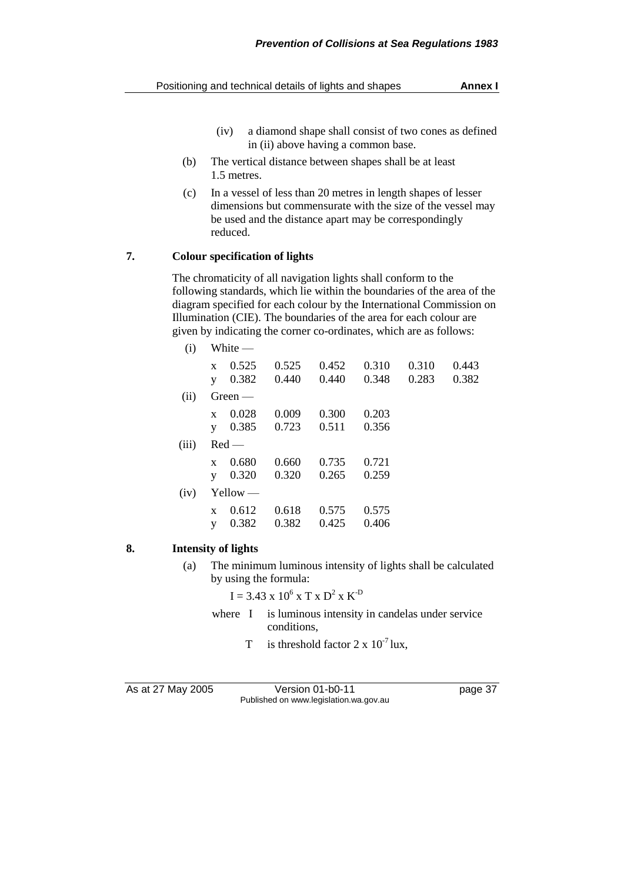- (iv) a diamond shape shall consist of two cones as defined in (ii) above having a common base.
- (b) The vertical distance between shapes shall be at least 1.5 metres.
- (c) In a vessel of less than 20 metres in length shapes of lesser dimensions but commensurate with the size of the vessel may be used and the distance apart may be correspondingly reduced.

#### **7. Colour specification of lights**

The chromaticity of all navigation lights shall conform to the following standards, which lie within the boundaries of the area of the diagram specified for each colour by the International Commission on Illumination (CIE). The boundaries of the area for each colour are given by indicating the corner co-ordinates, which are as follows:

| (i)   |              | White —     |       |       |       |       |       |
|-------|--------------|-------------|-------|-------|-------|-------|-------|
|       | $\mathbf{x}$ | 0.525       | 0.525 | 0.452 | 0.310 | 0.310 | 0.443 |
|       | y            | 0.382       | 0.440 | 0.440 | 0.348 | 0.283 | 0.382 |
| (ii)  |              | $Green -$   |       |       |       |       |       |
|       | $\mathbf{x}$ | 0.028       | 0.009 | 0.300 | 0.203 |       |       |
|       | V            | 0.385       | 0.723 | 0.511 | 0.356 |       |       |
| (iii) |              | $Red -$     |       |       |       |       |       |
|       | $\mathbf{x}$ | 0.680       | 0.660 | 0.735 | 0.721 |       |       |
|       | V            | 0.320       | 0.320 | 0.265 | 0.259 |       |       |
| (iv)  |              | $Y$ ellow — |       |       |       |       |       |
|       | $\mathbf x$  | 0.612       | 0.618 | 0.575 | 0.575 |       |       |
|       | y            | 0.382       | 0.382 | 0.425 | 0.406 |       |       |
|       |              |             |       |       |       |       |       |

#### **8. Intensity of lights**

(a) The minimum luminous intensity of lights shall be calculated by using the formula:

 $I = 3.43 \times 10^6 \times T \times D^2 \times K^{-D}$ 

- where I is luminous intensity in candelas under service conditions,
	- T is threshold factor  $2 \times 10^{-7}$  lux.

As at 27 May 2005 Version 01-b0-11 page 37 Published on www.legislation.wa.gov.au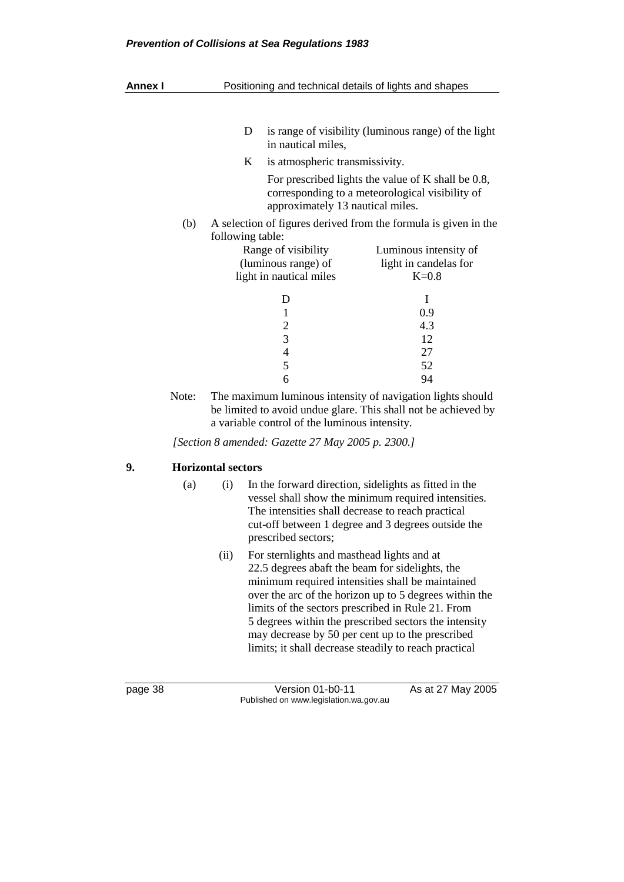| Annex I | Positioning and technical details of lights and shapes |                  |                         |                                                                                                                                              |
|---------|--------------------------------------------------------|------------------|-------------------------|----------------------------------------------------------------------------------------------------------------------------------------------|
|         |                                                        |                  |                         |                                                                                                                                              |
|         |                                                        | D                | in nautical miles,      | is range of visibility (luminous range) of the light                                                                                         |
|         |                                                        | K                |                         | is atmospheric transmissivity.                                                                                                               |
|         |                                                        |                  |                         | For prescribed lights the value of K shall be $0.8$ ,<br>corresponding to a meteorological visibility of<br>approximately 13 nautical miles. |
|         | (b)                                                    | following table: |                         | A selection of figures derived from the formula is given in the                                                                              |
|         |                                                        |                  | Range of visibility     | Luminous intensity of                                                                                                                        |
|         |                                                        |                  | (luminous range) of     | light in candelas for                                                                                                                        |
|         |                                                        |                  | light in nautical miles | $K=0.8$                                                                                                                                      |
|         |                                                        |                  | D                       | I                                                                                                                                            |
|         |                                                        |                  | 1                       | 0.9                                                                                                                                          |
|         |                                                        |                  | $\overline{c}$          | 4.3                                                                                                                                          |
|         |                                                        |                  | $\overline{3}$          | 12                                                                                                                                           |
|         |                                                        |                  | $\overline{4}$          | 27                                                                                                                                           |
|         |                                                        |                  | 5                       | 52                                                                                                                                           |
|         |                                                        |                  | 6                       | 94                                                                                                                                           |
|         | Note:                                                  |                  |                         | The maximum luminous intensity of navigation lights should                                                                                   |

be limited to avoid undue glare. This shall not be achieved by a variable control of the luminous intensity.

*[Section 8 amended: Gazette 27 May 2005 p. 2300.]*

#### **9. Horizontal sectors**

- (a) (i) In the forward direction, sidelights as fitted in the vessel shall show the minimum required intensities. The intensities shall decrease to reach practical cut-off between 1 degree and 3 degrees outside the prescribed sectors;
	- (ii) For sternlights and masthead lights and at 22.5 degrees abaft the beam for sidelights, the minimum required intensities shall be maintained over the arc of the horizon up to 5 degrees within the limits of the sectors prescribed in Rule 21. From 5 degrees within the prescribed sectors the intensity may decrease by 50 per cent up to the prescribed limits; it shall decrease steadily to reach practical

page 38 Version 01-b0-11 As at 27 May 2005 Published on www.legislation.wa.gov.au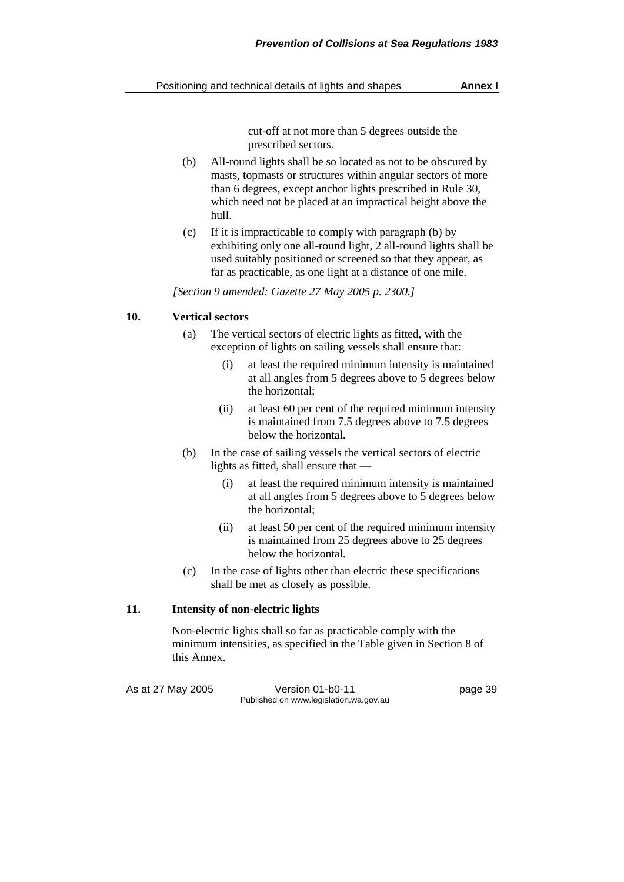cut-off at not more than 5 degrees outside the prescribed sectors.

- (b) All-round lights shall be so located as not to be obscured by masts, topmasts or structures within angular sectors of more than 6 degrees, except anchor lights prescribed in Rule 30, which need not be placed at an impractical height above the hull.
- (c) If it is impracticable to comply with paragraph (b) by exhibiting only one all-round light, 2 all-round lights shall be used suitably positioned or screened so that they appear, as far as practicable, as one light at a distance of one mile.

*[Section 9 amended: Gazette 27 May 2005 p. 2300.]*

#### **10. Vertical sectors**

- (a) The vertical sectors of electric lights as fitted, with the exception of lights on sailing vessels shall ensure that:
	- (i) at least the required minimum intensity is maintained at all angles from 5 degrees above to 5 degrees below the horizontal;
	- (ii) at least 60 per cent of the required minimum intensity is maintained from 7.5 degrees above to 7.5 degrees below the horizontal.
- (b) In the case of sailing vessels the vertical sectors of electric lights as fitted, shall ensure that —
	- (i) at least the required minimum intensity is maintained at all angles from 5 degrees above to 5 degrees below the horizontal;
	- (ii) at least 50 per cent of the required minimum intensity is maintained from 25 degrees above to 25 degrees below the horizontal.
- (c) In the case of lights other than electric these specifications shall be met as closely as possible.

#### **11. Intensity of non-electric lights**

Non-electric lights shall so far as practicable comply with the minimum intensities, as specified in the Table given in Section 8 of this Annex.

As at 27 May 2005 Version 01-b0-11 page 39 Published on www.legislation.wa.gov.au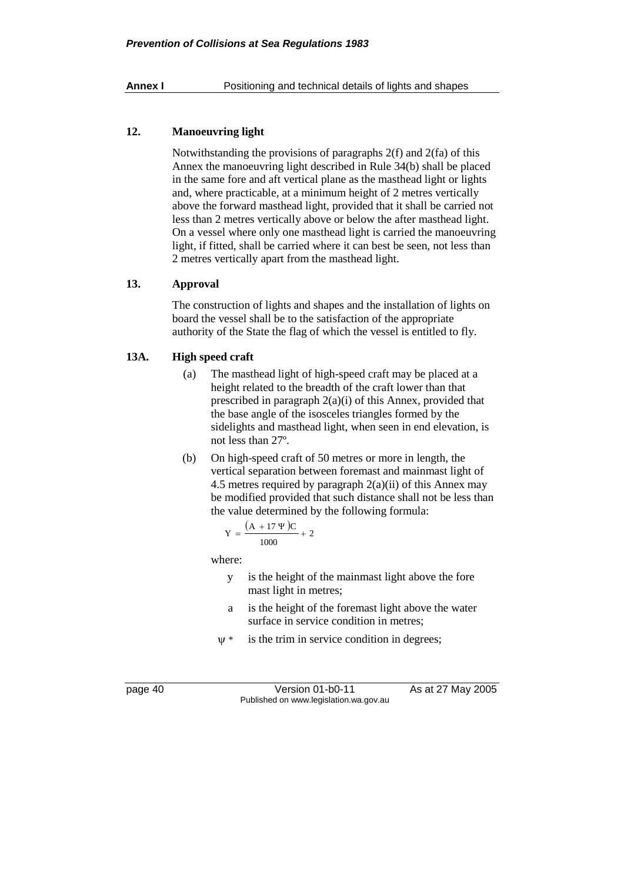#### **Annex I** Positioning and technical details of lights and shapes

#### **12. Manoeuvring light**

Notwithstanding the provisions of paragraphs  $2(f)$  and  $2(fa)$  of this Annex the manoeuvring light described in Rule 34(b) shall be placed in the same fore and aft vertical plane as the masthead light or lights and, where practicable, at a minimum height of 2 metres vertically above the forward masthead light, provided that it shall be carried not less than 2 metres vertically above or below the after masthead light. On a vessel where only one masthead light is carried the manoeuvring light, if fitted, shall be carried where it can best be seen, not less than 2 metres vertically apart from the masthead light.

#### **13. Approval**

The construction of lights and shapes and the installation of lights on board the vessel shall be to the satisfaction of the appropriate authority of the State the flag of which the vessel is entitled to fly.

#### **13A. High speed craft**

- (a) The masthead light of high-speed craft may be placed at a height related to the breadth of the craft lower than that prescribed in paragraph 2(a)(i) of this Annex, provided that the base angle of the isosceles triangles formed by the sidelights and masthead light, when seen in end elevation, is not less than 27º.
- (b) On high-speed craft of 50 metres or more in length, the vertical separation between foremast and mainmast light of 4.5 metres required by paragraph  $2(a)(ii)$  of this Annex may be modified provided that such distance shall not be less than the value determined by the following formula:

$$
Y = \frac{(A + 17 \Psi)C}{1000} + 2
$$

where:

- y is the height of the mainmast light above the fore mast light in metres;
- a is the height of the foremast light above the water surface in service condition in metres;
- $\psi^*$  is the trim in service condition in degrees;

page 40 Version 01-b0-11 As at 27 May 2005 Published on www.legislation.wa.gov.au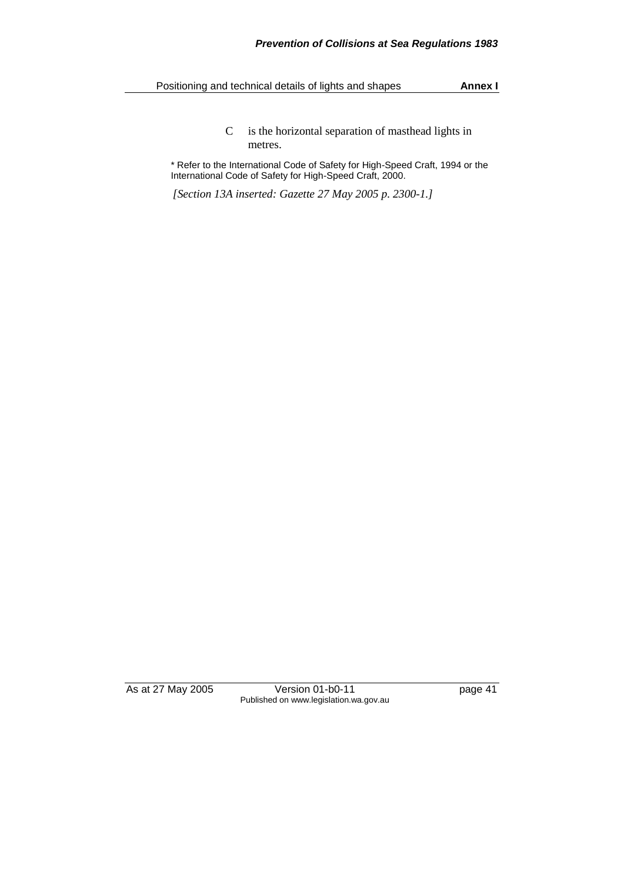C is the horizontal separation of masthead lights in metres.

\* Refer to the International Code of Safety for High-Speed Craft, 1994 or the International Code of Safety for High-Speed Craft, 2000.

*[Section 13A inserted: Gazette 27 May 2005 p. 2300-1.]*

As at 27 May 2005 Version 01-b0-11 page 41 Published on www.legislation.wa.gov.au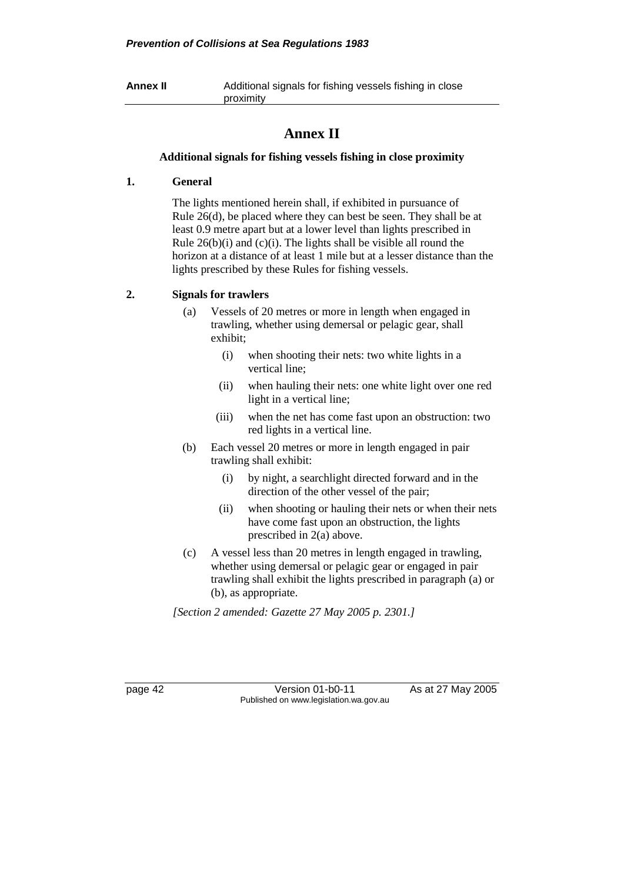**Annex II** Additional signals for fishing vessels fishing in close proximity

## **Annex II**

#### **Additional signals for fishing vessels fishing in close proximity**

#### **1. General**

The lights mentioned herein shall, if exhibited in pursuance of Rule 26(d), be placed where they can best be seen. They shall be at least 0.9 metre apart but at a lower level than lights prescribed in Rule  $26(b)(i)$  and  $(c)(i)$ . The lights shall be visible all round the horizon at a distance of at least 1 mile but at a lesser distance than the lights prescribed by these Rules for fishing vessels.

#### **2. Signals for trawlers**

- (a) Vessels of 20 metres or more in length when engaged in trawling, whether using demersal or pelagic gear, shall exhibit;
	- (i) when shooting their nets: two white lights in a vertical line;
	- (ii) when hauling their nets: one white light over one red light in a vertical line;
	- (iii) when the net has come fast upon an obstruction: two red lights in a vertical line.
- (b) Each vessel 20 metres or more in length engaged in pair trawling shall exhibit:
	- (i) by night, a searchlight directed forward and in the direction of the other vessel of the pair;
	- (ii) when shooting or hauling their nets or when their nets have come fast upon an obstruction, the lights prescribed in 2(a) above.
- (c) A vessel less than 20 metres in length engaged in trawling, whether using demersal or pelagic gear or engaged in pair trawling shall exhibit the lights prescribed in paragraph (a) or (b), as appropriate.

*[Section 2 amended: Gazette 27 May 2005 p. 2301.]*

page 42 Version 01-b0-11 As at 27 May 2005 Published on www.legislation.wa.gov.au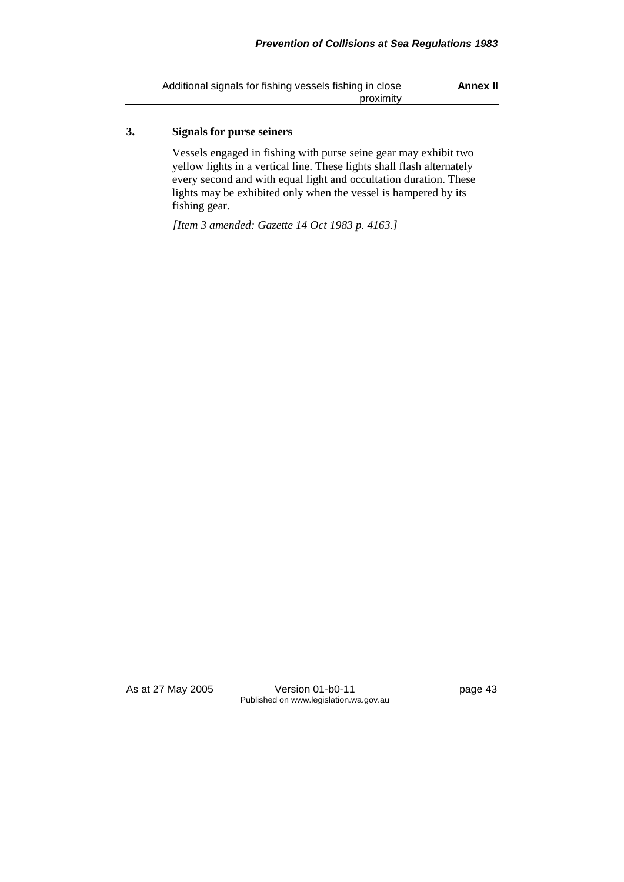| Additional signals for fishing vessels fishing in close | Annex II |
|---------------------------------------------------------|----------|
| proximity                                               |          |

#### **3. Signals for purse seiners**

Vessels engaged in fishing with purse seine gear may exhibit two yellow lights in a vertical line. These lights shall flash alternately every second and with equal light and occultation duration. These lights may be exhibited only when the vessel is hampered by its fishing gear.

*[Item 3 amended: Gazette 14 Oct 1983 p. 4163.]* 

As at 27 May 2005 Version 01-b0-11 page 43 Published on www.legislation.wa.gov.au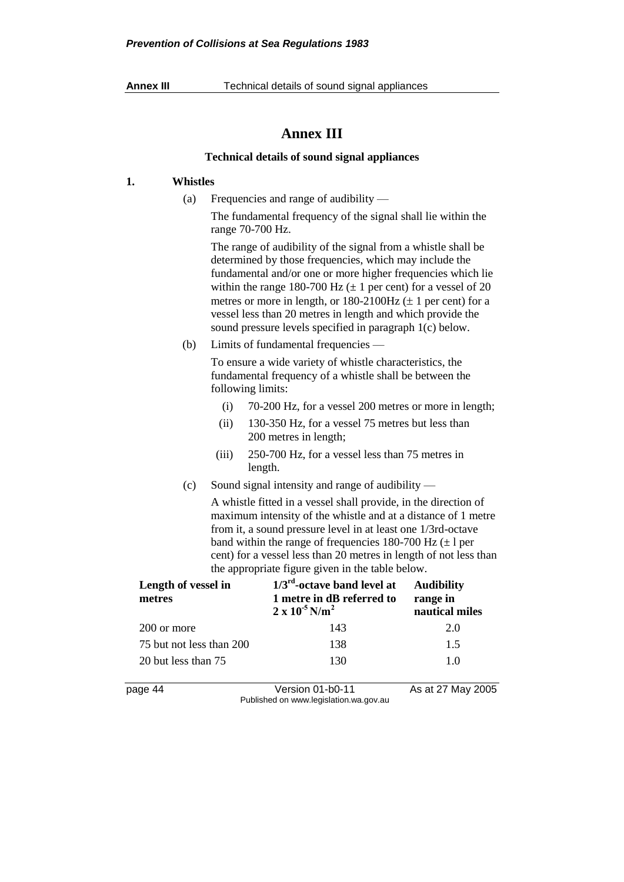**Annex III** Technical details of sound signal appliances

## **Annex III**

## **Technical details of sound signal appliances**

## **1. Whistles**

| page 44                  |                   | Version 01-b0-11<br>Published on www.legislation.wa.gov.au                                                                                                                                                                                                                                                                     | As at 27 May 2005          |  |
|--------------------------|-------------------|--------------------------------------------------------------------------------------------------------------------------------------------------------------------------------------------------------------------------------------------------------------------------------------------------------------------------------|----------------------------|--|
| 20 but less than 75      |                   | 130                                                                                                                                                                                                                                                                                                                            | 1.0                        |  |
| 75 but not less than 200 |                   | 138                                                                                                                                                                                                                                                                                                                            | 1.5                        |  |
| 200 or more              |                   | 143                                                                                                                                                                                                                                                                                                                            | 2.0                        |  |
| metres                   |                   | 1 metre in dB referred to<br>$2 \times 10^{-5}$ N/m <sup>2</sup>                                                                                                                                                                                                                                                               | range in<br>nautical miles |  |
| Length of vessel in      |                   | $1/3rd$ -octave band level at                                                                                                                                                                                                                                                                                                  | <b>Audibility</b>          |  |
|                          |                   | cent) for a vessel less than 20 metres in length of not less than<br>the appropriate figure given in the table below.                                                                                                                                                                                                          |                            |  |
|                          |                   | band within the range of frequencies 180-700 Hz $(\pm 1$ per                                                                                                                                                                                                                                                                   |                            |  |
|                          |                   | maximum intensity of the whistle and at a distance of 1 metre<br>from it, a sound pressure level in at least one 1/3rd-octave                                                                                                                                                                                                  |                            |  |
|                          |                   | A whistle fitted in a vessel shall provide, in the direction of                                                                                                                                                                                                                                                                |                            |  |
| (c)                      |                   | Sound signal intensity and range of audibility —                                                                                                                                                                                                                                                                               |                            |  |
|                          | (iii)             | 250-700 Hz, for a vessel less than 75 metres in<br>length.                                                                                                                                                                                                                                                                     |                            |  |
|                          |                   | 200 metres in length;                                                                                                                                                                                                                                                                                                          |                            |  |
|                          | (ii)              | 130-350 Hz, for a vessel 75 metres but less than                                                                                                                                                                                                                                                                               |                            |  |
|                          | (i)               | 70-200 Hz, for a vessel 200 metres or more in length;                                                                                                                                                                                                                                                                          |                            |  |
|                          | following limits: | To ensure a wide variety of whistle characteristics, the<br>fundamental frequency of a whistle shall be between the                                                                                                                                                                                                            |                            |  |
| (b)                      |                   | Limits of fundamental frequencies —                                                                                                                                                                                                                                                                                            |                            |  |
|                          |                   | fundamental and/or one or more higher frequencies which lie<br>within the range 180-700 Hz $(\pm 1$ per cent) for a vessel of 20<br>metres or more in length, or 180-2100Hz $(\pm 1$ per cent) for a<br>vessel less than 20 metres in length and which provide the<br>sound pressure levels specified in paragraph 1(c) below. |                            |  |
|                          |                   | The range of audibility of the signal from a whistle shall be<br>determined by those frequencies, which may include the                                                                                                                                                                                                        |                            |  |
|                          | range 70-700 Hz.  | The fundamental frequency of the signal shall lie within the                                                                                                                                                                                                                                                                   |                            |  |
| (a)                      |                   | Frequencies and range of audibility —                                                                                                                                                                                                                                                                                          |                            |  |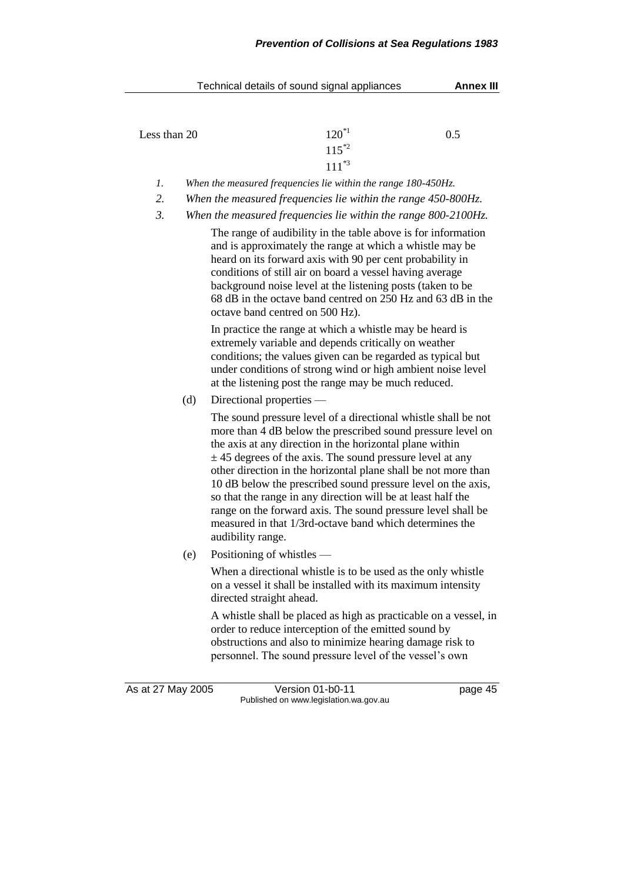|                  | Technical details of sound signal appliances                                                                                                                                                                                                                                                                                                                                                                                                                                                                                                                                                                 | <b>Annex III</b> |
|------------------|--------------------------------------------------------------------------------------------------------------------------------------------------------------------------------------------------------------------------------------------------------------------------------------------------------------------------------------------------------------------------------------------------------------------------------------------------------------------------------------------------------------------------------------------------------------------------------------------------------------|------------------|
|                  |                                                                                                                                                                                                                                                                                                                                                                                                                                                                                                                                                                                                              |                  |
| Less than 20     | $120^{*1}$<br>$115^{*2}$<br>$111^{*3}$                                                                                                                                                                                                                                                                                                                                                                                                                                                                                                                                                                       | 0.5              |
| 1.               | When the measured frequencies lie within the range 180-450Hz.                                                                                                                                                                                                                                                                                                                                                                                                                                                                                                                                                |                  |
| 2.               | When the measured frequencies lie within the range 450-800Hz.                                                                                                                                                                                                                                                                                                                                                                                                                                                                                                                                                |                  |
| $\mathfrak{Z}$ . | When the measured frequencies lie within the range 800-2100Hz.                                                                                                                                                                                                                                                                                                                                                                                                                                                                                                                                               |                  |
|                  | The range of audibility in the table above is for information<br>and is approximately the range at which a whistle may be<br>heard on its forward axis with 90 per cent probability in<br>conditions of still air on board a vessel having average<br>background noise level at the listening posts (taken to be<br>68 dB in the octave band centred on 250 Hz and 63 dB in the<br>octave band centred on 500 Hz).                                                                                                                                                                                           |                  |
|                  | In practice the range at which a whistle may be heard is<br>extremely variable and depends critically on weather<br>conditions; the values given can be regarded as typical but<br>under conditions of strong wind or high ambient noise level<br>at the listening post the range may be much reduced.                                                                                                                                                                                                                                                                                                       |                  |
|                  | (d)<br>Directional properties —                                                                                                                                                                                                                                                                                                                                                                                                                                                                                                                                                                              |                  |
|                  | The sound pressure level of a directional whistle shall be not<br>more than 4 dB below the prescribed sound pressure level on<br>the axis at any direction in the horizontal plane within<br>$\pm$ 45 degrees of the axis. The sound pressure level at any<br>other direction in the horizontal plane shall be not more than<br>10 dB below the prescribed sound pressure level on the axis,<br>so that the range in any direction will be at least half the<br>range on the forward axis. The sound pressure level shall be<br>measured in that 1/3rd-octave band which determines the<br>audibility range. |                  |
|                  | Positioning of whistles -<br>(e)                                                                                                                                                                                                                                                                                                                                                                                                                                                                                                                                                                             |                  |
|                  | When a directional whistle is to be used as the only whistle<br>on a vessel it shall be installed with its maximum intensity<br>directed straight ahead.<br>A whistle shall be placed as high as practicable on a vessel, in<br>order to reduce interception of the emitted sound by<br>obstructions and also to minimize hearing damage risk to<br>personnel. The sound pressure level of the vessel's own                                                                                                                                                                                                  |                  |

As at 27 May 2005 Version 01-b0-11 page 45 Published on www.legislation.wa.gov.au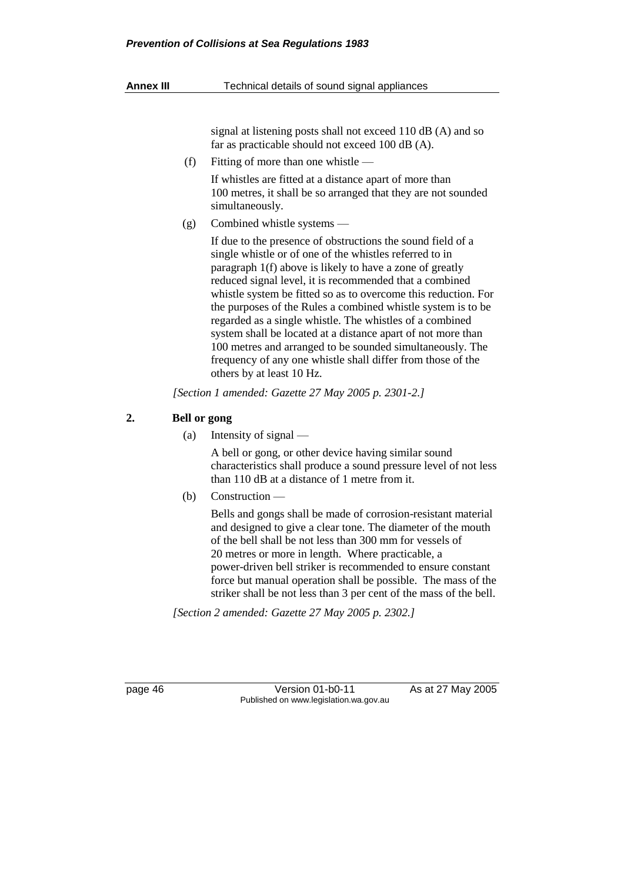| <b>Annex III</b> |                                                   | Technical details of sound signal appliances                                                                                                                                                                                                                                                                                                                                                                                                                                                                                                                                                                                                                         |  |  |  |  |
|------------------|---------------------------------------------------|----------------------------------------------------------------------------------------------------------------------------------------------------------------------------------------------------------------------------------------------------------------------------------------------------------------------------------------------------------------------------------------------------------------------------------------------------------------------------------------------------------------------------------------------------------------------------------------------------------------------------------------------------------------------|--|--|--|--|
|                  |                                                   |                                                                                                                                                                                                                                                                                                                                                                                                                                                                                                                                                                                                                                                                      |  |  |  |  |
|                  |                                                   | signal at listening posts shall not exceed 110 dB (A) and so<br>far as practicable should not exceed 100 dB (A).                                                                                                                                                                                                                                                                                                                                                                                                                                                                                                                                                     |  |  |  |  |
|                  | (f)                                               | Fitting of more than one whistle —                                                                                                                                                                                                                                                                                                                                                                                                                                                                                                                                                                                                                                   |  |  |  |  |
|                  |                                                   | If whistles are fitted at a distance apart of more than<br>100 metres, it shall be so arranged that they are not sounded<br>simultaneously.                                                                                                                                                                                                                                                                                                                                                                                                                                                                                                                          |  |  |  |  |
|                  | (g)                                               | Combined whistle systems -                                                                                                                                                                                                                                                                                                                                                                                                                                                                                                                                                                                                                                           |  |  |  |  |
|                  |                                                   | If due to the presence of obstructions the sound field of a<br>single whistle or of one of the whistles referred to in<br>paragraph 1(f) above is likely to have a zone of greatly<br>reduced signal level, it is recommended that a combined<br>whistle system be fitted so as to overcome this reduction. For<br>the purposes of the Rules a combined whistle system is to be<br>regarded as a single whistle. The whistles of a combined<br>system shall be located at a distance apart of not more than<br>100 metres and arranged to be sounded simultaneously. The<br>frequency of any one whistle shall differ from those of the<br>others by at least 10 Hz. |  |  |  |  |
|                  |                                                   | [Section 1 amended: Gazette 27 May 2005 p. 2301-2.]                                                                                                                                                                                                                                                                                                                                                                                                                                                                                                                                                                                                                  |  |  |  |  |
| $\overline{2}$ . | <b>Bell or gong</b>                               |                                                                                                                                                                                                                                                                                                                                                                                                                                                                                                                                                                                                                                                                      |  |  |  |  |
|                  | (a)                                               | Intensity of signal —                                                                                                                                                                                                                                                                                                                                                                                                                                                                                                                                                                                                                                                |  |  |  |  |
|                  |                                                   | A bell or gong, or other device having similar sound<br>characteristics shall produce a sound pressure level of not less<br>than 110 dB at a distance of 1 metre from it.                                                                                                                                                                                                                                                                                                                                                                                                                                                                                            |  |  |  |  |
|                  | (b)                                               | $Construction$ —                                                                                                                                                                                                                                                                                                                                                                                                                                                                                                                                                                                                                                                     |  |  |  |  |
|                  |                                                   | Bells and gongs shall be made of corrosion-resistant material<br>and designed to give a clear tone. The diameter of the mouth<br>of the bell shall be not less than 300 mm for vessels of<br>20 metres or more in length. Where practicable, a<br>power-driven bell striker is recommended to ensure constant<br>force but manual operation shall be possible. The mass of the<br>striker shall be not less than 3 per cent of the mass of the bell.                                                                                                                                                                                                                 |  |  |  |  |
|                  | [Section 2 amended: Gazette 27 May 2005 p. 2302.] |                                                                                                                                                                                                                                                                                                                                                                                                                                                                                                                                                                                                                                                                      |  |  |  |  |
|                  |                                                   |                                                                                                                                                                                                                                                                                                                                                                                                                                                                                                                                                                                                                                                                      |  |  |  |  |
| page 46          |                                                   | Version 01-b0-11<br>As at 27 May 2005<br>Published on www.legislation.wa.gov.au                                                                                                                                                                                                                                                                                                                                                                                                                                                                                                                                                                                      |  |  |  |  |
|                  |                                                   |                                                                                                                                                                                                                                                                                                                                                                                                                                                                                                                                                                                                                                                                      |  |  |  |  |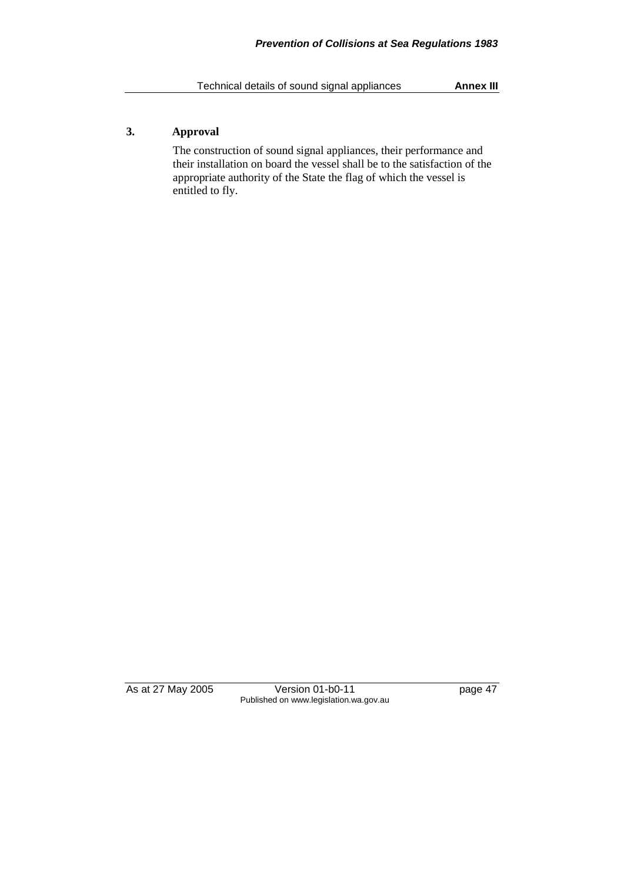Technical details of sound signal appliances **Annex III**

## **3. Approval**

The construction of sound signal appliances, their performance and their installation on board the vessel shall be to the satisfaction of the appropriate authority of the State the flag of which the vessel is entitled to fly.

As at 27 May 2005 Version 01-b0-11 page 47 Published on www.legislation.wa.gov.au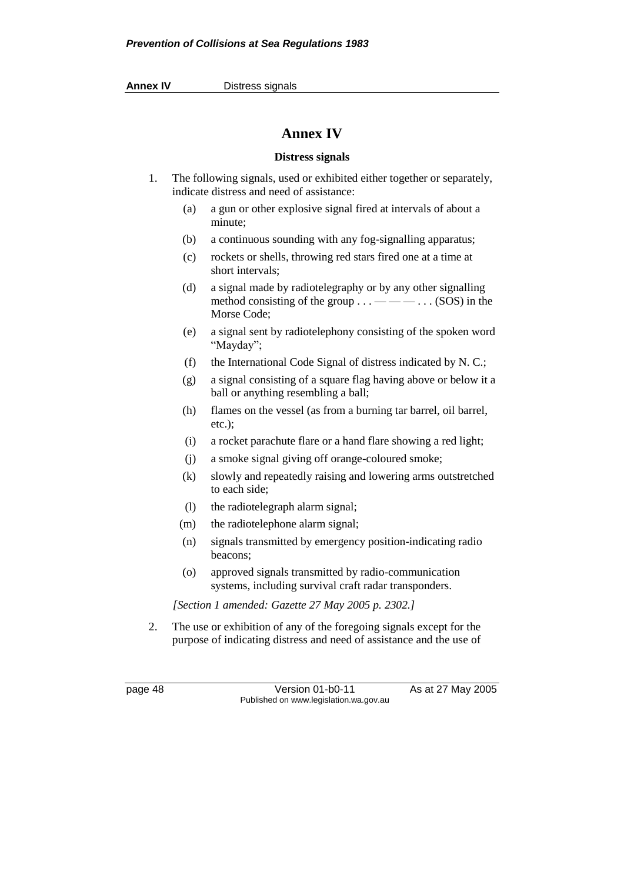**Annex IV** Distress signals

## **Annex IV**

#### **Distress signals**

- 1. The following signals, used or exhibited either together or separately, indicate distress and need of assistance:
	- (a) a gun or other explosive signal fired at intervals of about a minute;
	- (b) a continuous sounding with any fog-signalling apparatus;
	- (c) rockets or shells, throwing red stars fired one at a time at short intervals;
	- (d) a signal made by radiotelegraphy or by any other signalling method consisting of the group  $\ldots$  — —  $\ldots$  (SOS) in the Morse Code;
	- (e) a signal sent by radiotelephony consisting of the spoken word "Mayday";
	- (f) the International Code Signal of distress indicated by N. C.;
	- (g) a signal consisting of a square flag having above or below it a ball or anything resembling a ball;
	- (h) flames on the vessel (as from a burning tar barrel, oil barrel, etc.);
	- (i) a rocket parachute flare or a hand flare showing a red light;
	- (j) a smoke signal giving off orange-coloured smoke;
	- (k) slowly and repeatedly raising and lowering arms outstretched to each side;
	- (l) the radiotelegraph alarm signal;
	- (m) the radiotelephone alarm signal;
	- (n) signals transmitted by emergency position-indicating radio beacons;
	- (o) approved signals transmitted by radio-communication systems, including survival craft radar transponders.

*[Section 1 amended: Gazette 27 May 2005 p. 2302.]*

2. The use or exhibition of any of the foregoing signals except for the purpose of indicating distress and need of assistance and the use of

page 48 Version 01-b0-11 As at 27 May 2005 Published on www.legislation.wa.gov.au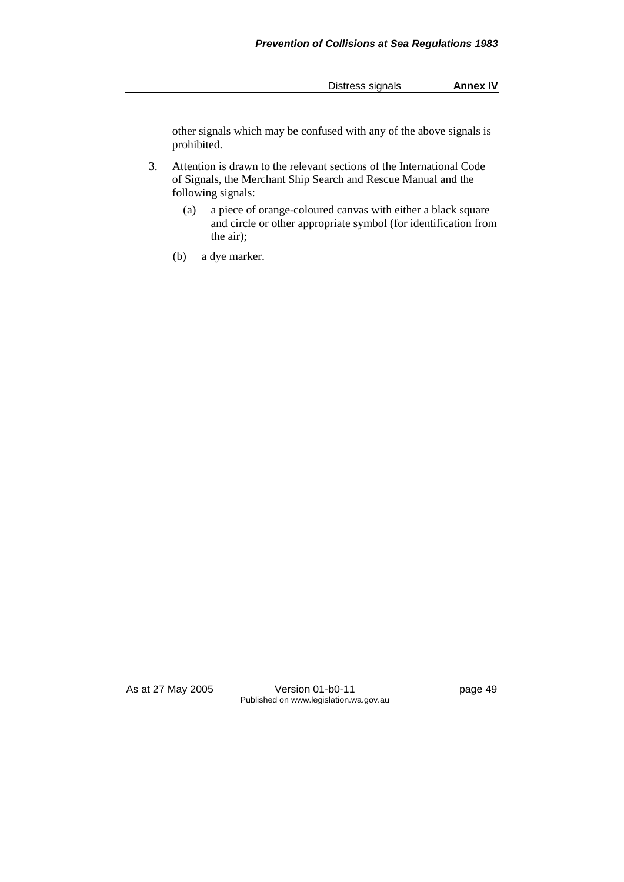| <b>Annex IV</b><br>Distress signals |
|-------------------------------------|
|-------------------------------------|

other signals which may be confused with any of the above signals is prohibited.

- 3. Attention is drawn to the relevant sections of the International Code of Signals, the Merchant Ship Search and Rescue Manual and the following signals:
	- (a) a piece of orange-coloured canvas with either a black square and circle or other appropriate symbol (for identification from the air);
	- (b) a dye marker.

As at 27 May 2005 Version 01-b0-11 Page 49 Published on www.legislation.wa.gov.au